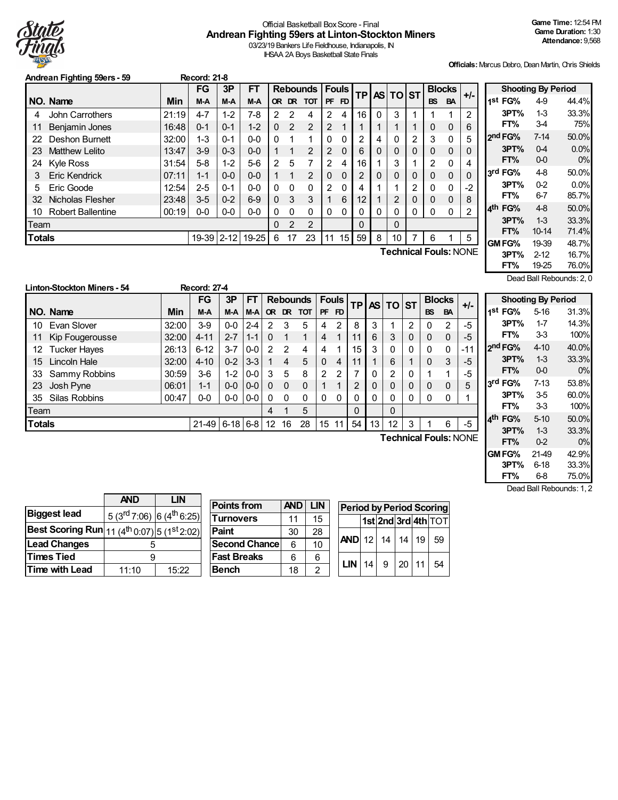

# Official Basketball BoxScore - Final **Andrean Fighting 59ers at Linton-Stockton Miners**

03/23/19 Bankers Life Fieldhouse, Indianapolis, IN IHSAA 2A Boys Basketball State Finals

**Officials:**Marcus Debro, Dean Martin, Chris Shields

|               | Andrean Fighting 59ers - 59<br><b>Record: 21-8</b> |       |           |          |           |               |              |                 |             |              |    |   |          |                |           |               |                              |
|---------------|----------------------------------------------------|-------|-----------|----------|-----------|---------------|--------------|-----------------|-------------|--------------|----|---|----------|----------------|-----------|---------------|------------------------------|
|               |                                                    |       | <b>FG</b> | 3P       | FT        |               |              | <b>Rebounds</b> |             | <b>Fouls</b> | ТP |   | AS TO ST |                |           | <b>Blocks</b> | +/-                          |
|               | NO. Name                                           | Min   | M-A       | M-A      | M-A       | OR.           |              | DR TOT          | <b>PF</b>   | FD           |    |   |          |                | <b>BS</b> | <b>BA</b>     |                              |
| 4             | John Carrothers                                    | 21:19 | 4-7       | $1 - 2$  | 7-8       | 2             | 2            | 4               | 2           | 4            | 16 | 0 | 3        |                |           |               | 2                            |
| 11            | <b>Benjamin Jones</b>                              | 16:48 | $0 - 1$   | $0 - 1$  | $1 - 2$   | $\Omega$      | 2            | 2               | 2           | 1            |    |   |          |                | 0         | 0             | 6                            |
| 22            | Deshon Burnett                                     | 32:00 | $1 - 3$   | $0 - 1$  | $0 - 0$   | 0             |              | 1               | $\Omega$    | 0            | 2  | 4 |          | 2              | 3         | 0             | 5                            |
| 23            | <b>Matthew Lelito</b>                              | 13:47 | $3-9$     | $0 - 3$  | $0 - 0$   |               | 1            | 2               | 2           | $\Omega$     | 6  | 0 | $\Omega$ | 0              | $\Omega$  | 0             | 0                            |
| 24            | <b>Kyle Ross</b>                                   | 31:54 | $5-8$     | $1 - 2$  | 5-6       | $\mathcal{P}$ | 5            | 7               | 2           | 4            | 16 |   | 3        |                | 2         | 0             | 4                            |
| 3             | Eric Kendrick                                      | 07:11 | $1 - 1$   | $0 - 0$  | $0 - 0$   |               | 1            | 2               | $\mathbf 0$ | 0            | 2  | 0 | 0        | $\Omega$       | $\Omega$  | 0             | 0                            |
| 5             | Eric Goode                                         | 12:54 | $2 - 5$   | $0 - 1$  | $0 - 0$   | 0             | $\mathbf{0}$ | 0               | 2           | $\mathbf 0$  | 4  |   |          | $\mathfrak{p}$ | $\Omega$  | 0             | $-2$                         |
| 32            | Nicholas Flesher                                   | 23:48 | $3-5$     | $0 - 2$  | $6-9$     | 0             | 3            | 3               |             | 6            | 12 |   | 2        | $\Omega$       | $\Omega$  | 0             | 8                            |
| 10            | <b>Robert Ballentine</b>                           | 00:19 | $0-0$     | $0-0$    | $0-0$     | 0             | $\Omega$     | 0               | $\Omega$    | 0            | 0  | Ω |          | 0              | 0         | 0             | 2                            |
| Team          |                                                    |       |           |          |           | 0             | 2            | 2               |             |              | 0  |   | 0        |                |           |               |                              |
| <b>Totals</b> |                                                    |       | 19-39     | $2 - 12$ | $19 - 25$ | 6             | 17           | 23              | 11          | 15           | 59 | 8 | 10       |                | 6         |               | 5                            |
|               |                                                    |       |           |          |           |               |              |                 |             |              |    |   |          |                |           |               | <b>Technical Fouls: NONE</b> |

**Shooting By Period 1 st FG%** 4-9 44.4% **3PT%** 1-3 33.3% **FT%** 3-4 75% **2 nd FG%** 7-14 50.0% **3PT%** 0-4 0.0% **FT%** 0-0 0% **3 rd FG%** 4-8 50.0% **3PT%** 0-2 0.0% **FT%** 6-7 85.7% **4 th FG%** 4-8 50.0% **3PT%** 1-3 33.3% **FT%** 10-14 71.4% **GMFG%** 19-39 48.7% **3PT%** 2-12 16.7% **FT%** 19-25 76.0% Dead Ball Rebounds: 2, 0

|               | <b>Linton-Stockton Miners - 54</b> |            | <b>Record: 27-4</b> |            |                 |               |          |                 |                |              |                |             |                 |          |           |               |                              |
|---------------|------------------------------------|------------|---------------------|------------|-----------------|---------------|----------|-----------------|----------------|--------------|----------------|-------------|-----------------|----------|-----------|---------------|------------------------------|
|               |                                    |            | FG                  | 3P         | <b>FT</b>       |               |          | <b>Rebounds</b> |                | <b>Fouls</b> | <b>TP</b>      |             | <b>AS TO ST</b> |          |           | <b>Blocks</b> | $+/-$                        |
|               | NO. Name                           | <b>Min</b> | M-A                 | M-A        | $M-A$           | <b>OR</b>     | DR.      | <b>TOT</b>      | <b>PF</b>      | <b>FD</b>    |                |             |                 |          | <b>BS</b> | <b>BA</b>     |                              |
| 10            | Evan Slover                        | 32:00      | $3-9$               | $0-0$      | $2 - 4$         | 2             | 3        | 5               | 4              | 2            | 8              | 3           |                 | 2        | 0         | 2             | $-5$                         |
| 11            | Kip Fougerousse                    | 32:00      | $4 - 11$            | $2 - 7$    | $1 - 1$         | $\mathbf{0}$  |          | 1               | 4              |              | 11             | 6           | 3               | $\Omega$ | $\Omega$  | 0             | -5                           |
| 12            | <b>Tucker Hayes</b>                | 26:13      | $6 - 12$            | $3 - 7$    | $0-0$           | $\mathcal{P}$ | 2        | 4               | 4              |              | 15             | 3           | $\Omega$        | 0        | 0         | 0             | -11                          |
| 15            | Lincoln Hale                       | 32:00      | $4 - 10$            | $0 - 2$    | $3 - 3$         |               | 4        | 5               | $\Omega$       | 4            | 11             |             | 6               |          | $\Omega$  | 3             | $-5$                         |
| 33            | Sammy Robbins                      | 30:59      | $3-6$               | $1 - 2$    | $0-0$           | 3             | 5        | 8               | $\overline{2}$ | 2            |                | $\Omega$    | 2               | $\Omega$ |           | 1             | $-5$                         |
| 23            | Josh Pyne                          | 06:01      | $1 - 1$             | $0 - 0$    | $0-0$           | $\Omega$      | $\Omega$ | $\Omega$        | 1              | 1            | $\mathfrak{p}$ | $\mathbf 0$ |                 | 0        | 0         | $\mathbf 0$   | 5                            |
| 35            | Silas Robbins                      | 00:47      | $0-0$               |            | $0 - 0$ $0 - 0$ | -0            | $\Omega$ | $\Omega$        | 0              | 0            |                | 0           | 0               | 0        | 0         | 0             |                              |
| Team          |                                    |            |                     |            |                 | 4             |          | 5               |                |              | 0              |             | 0               |          |           |               |                              |
| <b>Totals</b> |                                    |            | 21-49               | $6-18$ 6-8 |                 | 12            | 16       | 28              | 15             | 11           | 54             | 13          | 12              | 3        |           | 6             | $-5$                         |
|               |                                    |            |                     |            |                 |               |          |                 |                |              |                |             |                 |          |           |               | <b>Technical Fouls: NONE</b> |

|      |                     | <b>Shooting By Period</b> |       |
|------|---------------------|---------------------------|-------|
| 1St  | FG%                 | 5-16                      | 31.3% |
|      | 3PT%                | $1 - 7$                   | 14.3% |
|      | FT%                 | 33                        | 100%  |
|      | 2 <sup>nd</sup> FG% | $4 - 10$                  | 40.0% |
|      | 3PT%                | 13                        | 33.3% |
|      | FT%                 | 0-0                       | 0%    |
| لاءِ | FG%                 | $7-13$                    | 53.8% |
|      | 3PT%                | 35                        | 60.0% |
|      | FT%                 | 33                        | 100%  |
| ⊿th  | FG%                 | $5-10$                    | 50.0% |
|      | 3PT%                | 13                        | 33.3% |
|      | FT%                 | 0-2                       | 0%    |
|      | GM FG%              | 21-49                     | 42.9% |
|      | 3PT%                | 6-18                      | 33.3% |
|      | FT%                 | 6-8                       | 75.0% |

Dead Ball Rebounds: 1, 2

|                                                                            | <b>AND</b>                                        | LIN   |
|----------------------------------------------------------------------------|---------------------------------------------------|-------|
| <b>Biggest lead</b>                                                        | 5 (3 <sup>rd</sup> 7:06) 6 (4 <sup>th</sup> 6:25) |       |
| <b>Best Scoring Run</b> 11 (4 <sup>th</sup> 0.07) 5 (1 <sup>st</sup> 2.02) |                                                   |       |
| <b>Lead Changes</b>                                                        | 5                                                 |       |
| <b>Times Tied</b>                                                          |                                                   |       |
| Time with Lead                                                             | 11:10                                             | 15:22 |

| <b>Points from</b>   | <b>AND</b> | <b>LIN</b> |  |
|----------------------|------------|------------|--|
| <b>Turnovers</b>     | 11         | 15         |  |
| Paint                | 30         | 28         |  |
| <b>Second Chance</b> | 6          | 10         |  |
| <b>Fast Breaks</b>   | 6          | 6          |  |
| <b>Bench</b>         | 18         | 2          |  |

| <b>Period by Period Scoring</b> |  |  |                     |  |    |  |  |  |  |  |  |  |
|---------------------------------|--|--|---------------------|--|----|--|--|--|--|--|--|--|
|                                 |  |  | 1st 2nd 3rd 4th TOT |  |    |  |  |  |  |  |  |  |
| AND 12 14 14 19 59              |  |  |                     |  |    |  |  |  |  |  |  |  |
| LIN 14 9 20 11                  |  |  |                     |  | 54 |  |  |  |  |  |  |  |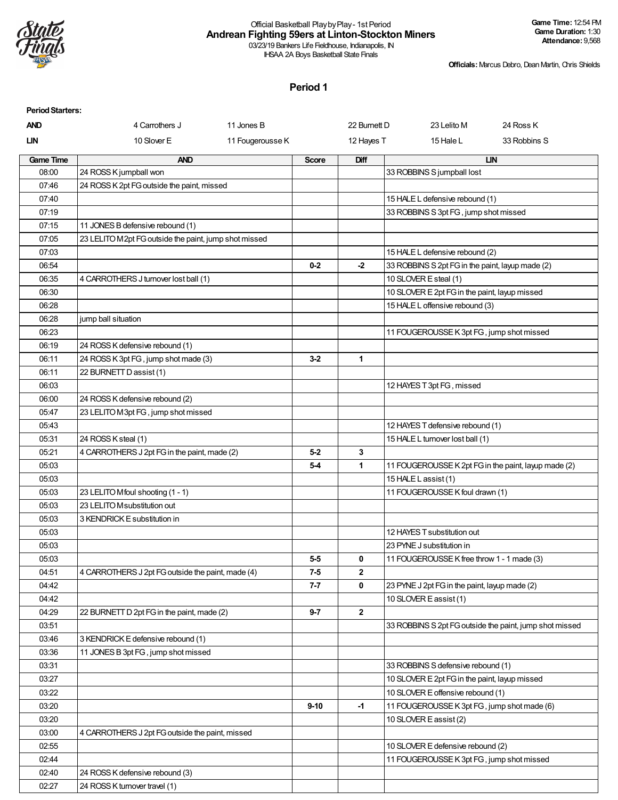

#### Official Basketball PlaybyPlay- 1st Period **Andrean Fighting 59ers at Linton-Stockton Miners** 03/23/19 Bankers Life Fieldhouse, Indianapolis, IN

IHSAA 2A Boys Basketball State Finals

**Officials:**Marcus Debro, Dean Martin, Chris Shields

| <b>Period Starters:</b> |                                                       |                  |              |              |                                                                         |              |
|-------------------------|-------------------------------------------------------|------------------|--------------|--------------|-------------------------------------------------------------------------|--------------|
| <b>AND</b>              | 4 Carrothers J                                        | 11 Jones B       |              | 22 Burnett D | 23 Lelito M                                                             | 24 Ross K    |
| LIN                     | 10 Slover E                                           | 11 Fougerousse K |              | 12 Hayes T   | 15 Hale L                                                               | 33 Robbins S |
| <b>Game Time</b>        | <b>AND</b>                                            |                  | <b>Score</b> | Diff         |                                                                         | LIN          |
| 08:00                   | 24 ROSS K jumpball won                                |                  |              |              | 33 ROBBINS S jumpball lost                                              |              |
| 07:46                   | 24 ROSS K 2pt FG outside the paint, missed            |                  |              |              |                                                                         |              |
| 07:40                   |                                                       |                  |              |              | 15 HALE L defensive rebound (1)                                         |              |
| 07:19                   |                                                       |                  |              |              | 33 ROBBINS S 3pt FG, jump shot missed                                   |              |
| 07:15                   | 11 JONES B defensive rebound (1)                      |                  |              |              |                                                                         |              |
| 07:05                   | 23 LELITO M2pt FG outside the paint, jump shot missed |                  |              |              |                                                                         |              |
| 07:03                   |                                                       |                  |              |              | 15 HALE L defensive rebound (2)                                         |              |
| 06:54                   |                                                       |                  | $0 - 2$      | $-2$         | 33 ROBBINS S 2pt FG in the paint, layup made (2)                        |              |
| 06:35                   | 4 CARROTHERS J turnover lost ball (1)                 |                  |              |              | 10 SLOVER E steal (1)                                                   |              |
| 06:30                   |                                                       |                  |              |              | 10 SLOVER E 2pt FG in the paint, layup missed                           |              |
| 06:28                   |                                                       |                  |              |              | 15 HALE L offensive rebound (3)                                         |              |
| 06:28                   | jump ball situation                                   |                  |              |              |                                                                         |              |
| 06:23                   |                                                       |                  |              |              | 11 FOUGEROUSSE K 3pt FG, jump shot missed                               |              |
| 06:19                   | 24 ROSS K defensive rebound (1)                       |                  |              |              |                                                                         |              |
| 06:11                   | 24 ROSS K 3pt FG, jump shot made (3)                  |                  | $3-2$        | 1            |                                                                         |              |
| 06:11                   | 22 BURNETT D assist (1)                               |                  |              |              |                                                                         |              |
| 06:03                   |                                                       |                  |              |              | 12 HAYES T 3pt FG, missed                                               |              |
| 06:00                   | 24 ROSS K defensive rebound (2)                       |                  |              |              |                                                                         |              |
| 05:47                   | 23 LELITO M3pt FG, jump shot missed                   |                  |              |              |                                                                         |              |
| 05:43                   |                                                       |                  |              |              | 12 HAYES T defensive rebound (1)                                        |              |
| 05:31                   | 24 ROSS K steal (1)                                   |                  |              |              | 15 HALE L turnover lost ball (1)                                        |              |
| 05:21                   | 4 CARROTHERS J 2pt FG in the paint, made (2)          |                  | $5-2$        | 3            |                                                                         |              |
| 05:03                   |                                                       |                  | $5-4$        | $\mathbf{1}$ | 11 FOUGEROUSSE K 2pt FG in the paint, layup made (2)                    |              |
| 05:03                   |                                                       |                  |              |              | 15 HALE L assist (1)                                                    |              |
| 05:03                   | 23 LELITO Mfoul shooting (1 - 1)                      |                  |              |              | 11 FOUGEROUSSE K foul drawn (1)                                         |              |
| 05:03                   | 23 LELITO M substitution out                          |                  |              |              |                                                                         |              |
| 05:03<br>05:03          | 3 KENDRICK E substitution in                          |                  |              |              | 12 HAYES T substitution out                                             |              |
|                         |                                                       |                  |              |              |                                                                         |              |
| 05:03<br>05:03          |                                                       |                  | $5-5$        | 0            | 23 PYNE J substitution in<br>11 FOUGEROUSSE K free throw 1 - 1 made (3) |              |
| 04:51                   | 4 CARROTHERS J 2pt FG outside the paint, made (4)     |                  | $7-5$        | $\mathbf{2}$ |                                                                         |              |
| 04:42                   |                                                       |                  | 7-7          | 0            | 23 PYNE J 2pt FG in the paint, layup made (2)                           |              |
| 04:42                   |                                                       |                  |              |              | 10 SLOVER E assist (1)                                                  |              |
| 04:29                   | 22 BURNETT D 2pt FG in the paint, made (2)            |                  | 9-7          | $\mathbf{2}$ |                                                                         |              |
| 03:51                   |                                                       |                  |              |              | 33 ROBBINS S 2pt FG outside the paint, jump shot missed                 |              |
| 03:46                   | 3 KENDRICK E defensive rebound (1)                    |                  |              |              |                                                                         |              |
| 03:36                   | 11 JONES B 3pt FG, jump shot missed                   |                  |              |              |                                                                         |              |
| 03:31                   |                                                       |                  |              |              | 33 ROBBINS S defensive rebound (1)                                      |              |
| 03:27                   |                                                       |                  |              |              | 10 SLOVER E 2pt FG in the paint, layup missed                           |              |
| 03:22                   |                                                       |                  |              |              | 10 SLOVER E offensive rebound (1)                                       |              |
| 03:20                   |                                                       |                  | $9 - 10$     | -1           | 11 FOUGEROUSSE K 3pt FG, jump shot made (6)                             |              |
| 03:20                   |                                                       |                  |              |              | 10 SLOVER E assist (2)                                                  |              |
| 03:00                   | 4 CARROTHERS J 2pt FG outside the paint, missed       |                  |              |              |                                                                         |              |
| 02:55                   |                                                       |                  |              |              | 10 SLOVER E defensive rebound (2)                                       |              |
| 02:44                   |                                                       |                  |              |              | 11 FOUGEROUSSE K 3pt FG, jump shot missed                               |              |
| 02:40                   | 24 ROSS K defensive rebound (3)                       |                  |              |              |                                                                         |              |
| 02:27                   | 24 ROSS K turnover travel (1)                         |                  |              |              |                                                                         |              |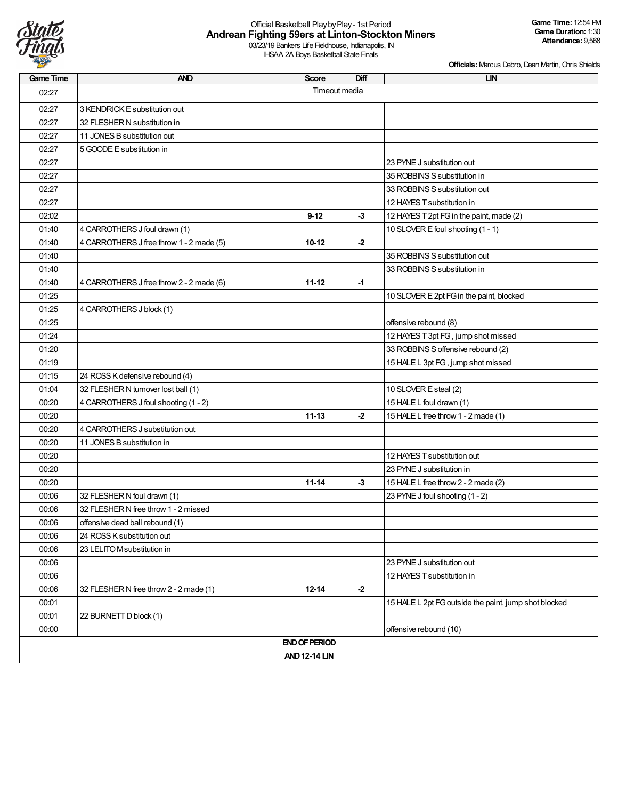

# Official Basketball PlaybyPlay- 1st Period **Andrean Fighting 59ers at Linton-Stockton Miners**

03/23/19 Bankers Life Fieldhouse, Indianapolis, IN IHSAA 2A Boys Basketball State Finals

| <b>Game Time</b> | <b>AND</b>                               | <b>Score</b>         | Diff | <b>LIN</b>                                            |
|------------------|------------------------------------------|----------------------|------|-------------------------------------------------------|
| 02:27            |                                          | Timeout media        |      |                                                       |
| 02:27            | 3 KENDRICK E substitution out            |                      |      |                                                       |
| 02:27            | 32 FLESHER N substitution in             |                      |      |                                                       |
| 02:27            | 11 JONES B substitution out              |                      |      |                                                       |
| 02:27            | 5 GOODE E substitution in                |                      |      |                                                       |
| 02:27            |                                          |                      |      | 23 PYNE J substitution out                            |
| 02:27            |                                          |                      |      | 35 ROBBINS S substitution in                          |
| 02:27            |                                          |                      |      | 33 ROBBINS S substitution out                         |
| 02:27            |                                          |                      |      | 12 HAYES T substitution in                            |
| 02:02            |                                          | $9 - 12$             | $-3$ | 12 HAYES T 2pt FG in the paint, made (2)              |
| 01:40            | 4 CARROTHERS J foul drawn (1)            |                      |      | 10 SLOVER E foul shooting (1 - 1)                     |
| 01:40            | 4 CARROTHERS J free throw 1 - 2 made (5) | $10 - 12$            | $-2$ |                                                       |
| 01:40            |                                          |                      |      | 35 ROBBINS S substitution out                         |
| 01:40            |                                          |                      |      | 33 ROBBINS S substitution in                          |
| 01:40            | 4 CARROTHERS J free throw 2 - 2 made (6) | $11 - 12$            | $-1$ |                                                       |
| 01:25            |                                          |                      |      | 10 SLOVER E 2pt FG in the paint, blocked              |
| 01:25            | 4 CARROTHERS J block (1)                 |                      |      |                                                       |
| 01:25            |                                          |                      |      | offensive rebound (8)                                 |
| 01:24            |                                          |                      |      | 12 HAYES T 3pt FG, jump shot missed                   |
| 01:20            |                                          |                      |      | 33 ROBBINS S offensive rebound (2)                    |
| 01:19            |                                          |                      |      | 15 HALE L 3pt FG, jump shot missed                    |
| 01:15            | 24 ROSS K defensive rebound (4)          |                      |      |                                                       |
| 01:04            | 32 FLESHER N turnover lost ball (1)      |                      |      | 10 SLOVER E steal (2)                                 |
| 00:20            | 4 CARROTHERS J foul shooting (1 - 2)     |                      |      | 15 HALE L foul drawn (1)                              |
| 00:20            |                                          | $11 - 13$            | $-2$ | 15 HALE L free throw 1 - 2 made (1)                   |
| 00:20            | 4 CARROTHERS J substitution out          |                      |      |                                                       |
| 00:20            | 11 JONES B substitution in               |                      |      |                                                       |
| 00:20            |                                          |                      |      | 12 HAYES T substitution out                           |
| 00:20            |                                          |                      |      | 23 PYNE J substitution in                             |
| 00:20            |                                          | $11 - 14$            | $-3$ | 15 HALE L free throw 2 - 2 made (2)                   |
| 00:06            | 32 FLESHER N foul drawn (1)              |                      |      | 23 PYNE J foul shooting (1 - 2)                       |
| 00:06            | 32 FLESHER N free throw 1 - 2 missed     |                      |      |                                                       |
| 00:06            | offensive dead ball rebound (1)          |                      |      |                                                       |
| 00:06            | 24 ROSS K substitution out               |                      |      |                                                       |
| 00:06            | 23 LELITO M substitution in              |                      |      |                                                       |
| 00:06            |                                          |                      |      | 23 PYNE J substitution out                            |
| 00:06            |                                          |                      |      | 12 HAYES T substitution in                            |
| 00:06            | 32 FLESHER N free throw 2 - 2 made (1)   | $12 - 14$            | $-2$ |                                                       |
| 00:01            |                                          |                      |      | 15 HALE L 2pt FG outside the paint, jump shot blocked |
| 00:01            | 22 BURNETT D block (1)                   |                      |      |                                                       |
| 00:00            |                                          |                      |      | offensive rebound (10)                                |
|                  |                                          | <b>END OF PERIOD</b> |      |                                                       |
|                  |                                          | <b>AND 12-14 LIN</b> |      |                                                       |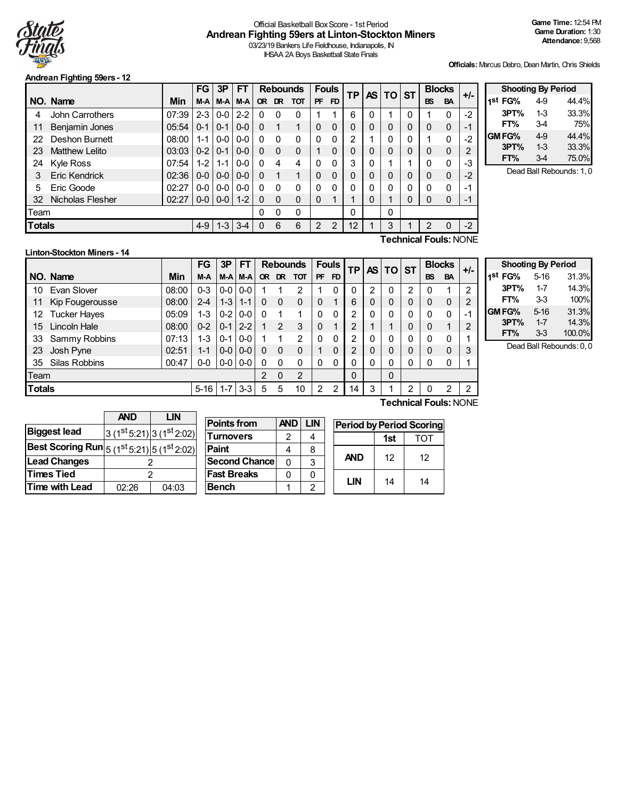

# Official Basketball BoxScore - 1st Period **Andrean Fighting 59ers at Linton-Stockton Miners**

03/23/19 Bankers Life Fieldhouse, Indianapolis, IN IHSAA 2A Boys Basketball State Finals

**Officials:**Marcus Debro, Dean Martin, Chris Shields

## **Andrean Fighting 59ers - 12**

|               |                         |       | <b>FG</b>     | 3P      | FT      |          |          | <b>Rebounds</b> |           | <b>Fouls</b> | ΤP       | <b>AS</b> |           | <b>ST</b> | <b>Blocks</b> |           | +/-                          |
|---------------|-------------------------|-------|---------------|---------|---------|----------|----------|-----------------|-----------|--------------|----------|-----------|-----------|-----------|---------------|-----------|------------------------------|
|               | NO. Name                | Min   | M-A           | $M-A$   | M-A     |          |          | OR DR TOT       | <b>PF</b> | <b>FD</b>    |          |           | <b>TO</b> |           | <b>BS</b>     | <b>BA</b> |                              |
| 4             | <b>John Carrothers</b>  | 07:39 | $2 - 3$       | $0-0$   | $2-2$   | 0        | 0        | $\Omega$        |           |              | 6        |           |           | 0         |               | 0         | $-2$                         |
| 11            | Benjamin Jones          | 05:54 | $0 - 1$       | $0 - 1$ | $0 - 0$ | $\Omega$ | 1        |                 | 0         | 0            |          |           | 0         | 0         | $\mathbf{0}$  | 0         | -1                           |
| 22            | Deshon Burnett          | 08:00 | $1 - 1$       | $0 - 0$ | $0-0$   | $\Omega$ | $\Omega$ | 0               | 0         | 0            | າ        |           | 0         | 0         |               | 0         | $-2$                         |
| 23            | Matthew Lelito          | 03:03 | $0 - 2$   0-1 |         | $0-0$   | $\Omega$ | $\Omega$ | $\mathbf 0$     |           | 0            | 0        |           | 0         | 0         | $\mathbf 0$   | 0         | 2                            |
| 24            | <b>Kyle Ross</b>        | 07:54 | $1-2$         | $1 - 1$ | $0 - 0$ |          | 4        | 4               | 0         | 0            | 3        |           |           |           | 0             | 0         | -3                           |
| 3             | <b>Eric Kendrick</b>    | 02:36 | $0-0$         | $0-0$   | $0 - 0$ | $\Omega$ | 1        | 1               | 0         | 0            |          |           | 0         | 0         | $\mathbf{0}$  | 0         | $-2$                         |
| 5             | Eric Goode              | 02:27 | $0-0$         | $0-0$   | $0 - 0$ | $\Omega$ | $\Omega$ | $\mathbf{0}$    | 0         | 0            | 0        |           | 0         | 0         | $\Omega$      | 0         | -1                           |
| 32            | <b>Nicholas Flesher</b> | 02:27 | $0-0$         | $0-0$   | $1 - 2$ | $\Omega$ | $\Omega$ | $\Omega$        | 0         |              |          |           |           | 0         | $\mathbf{0}$  | 0         | -1                           |
| Team          |                         |       |               |         |         | $\Omega$ | 0        | $\Omega$        |           |              | $\Omega$ |           | 0         |           |               |           |                              |
| <b>Totals</b> |                         |       | $4 - 9$       | $1 - 3$ | $3 - 4$ |          | 6        | 6               | 2         | 2            | 12       |           | 3         |           | 2             | 0         | $-2$                         |
|               |                         |       |               |         |         |          |          |                 |           |              |          |           |           |           |               |           | <b>Technical Fouls: NONE</b> |

| <b>Shooting By Period</b> |       |       |
|---------------------------|-------|-------|
| 1st FG%                   | 4-9   | 44.4% |
| 3PT%                      | $1-3$ | 33.3% |
| FT%                       | 3-4   | 75%   |
| GM FG%                    | 4.9   | 44.4% |
| 3PT%                      | $1-3$ | 33.3% |
| FT%                       | 34    | 75.0% |

Dead Ball Rebounds: 1, 0

# **Linton-Stockton Miners - 14**

|               |                      |       | FG       | 3P      | FТ      |   |           | <b>Rebounds</b> |              | <b>Fouls</b> | ΤP |   | AS TO ST |   |           | <b>Blocks</b>         | $+/-$ |
|---------------|----------------------|-------|----------|---------|---------|---|-----------|-----------------|--------------|--------------|----|---|----------|---|-----------|-----------------------|-------|
|               | NO. Name             | Min   | M-A      | M-A     | M-A     |   | OR DR TOT |                 | <b>PF</b>    | FD           |    |   |          |   | <b>BS</b> | <b>BA</b>             |       |
| 10            | Evan Slover          | 08:00 | 0-3      | $0-0$   | $0-0$   |   |           | 2               |              | 0            | 0  | っ | 0        | 2 | 0         |                       | 2     |
| 11            | Kip Fougerousse      | 08:00 | 2-4      | $1 - 3$ | l 1-1   | 0 | $\Omega$  | 0               | $\mathbf{0}$ |              | 6  | 0 | 0        | 0 | 0         | 0                     | 2     |
| 12.           | <b>Tucker Hayes</b>  | 05:09 | 1-3      | $0-2$   | $0 - 0$ | 0 |           |                 | 0            | 0            | 2  | 0 | 0        | 0 | 0         | 0                     | -     |
| 15            | Lincoln Hale         | 08:00 | $0 - 2$  | $0 - 1$ | $2 - 2$ |   | 2         | 3               | 0            |              | 2  |   |          | 0 | 0         |                       | 2     |
| 33            | Sammy Robbins        | 07:13 | 1-3      | $0 - 1$ | $0-0$   |   |           | 2               | 0            | 0            | 2  | 0 | 0        | 0 | 0         | 0                     |       |
| 23            | Josh Pyne            | 02:51 | $1 - 1$  | $0 - 0$ | $0 - 0$ | 0 | 0         | 0               |              | 0            | 2  | 0 | 0        | 0 | 0         | $\mathbf{0}$          | 3     |
| 35            | <b>Silas Robbins</b> | 00:47 | $0-0$    | $0 - 0$ | $0 - 0$ | 0 | $\Omega$  | 0               | 0            | 0            | 0  | 0 | 0        | 0 |           | 0                     |       |
| Team          |                      |       |          |         |         | 2 | $\Omega$  | 2               |              |              | 0  |   | 0        |   |           |                       |       |
| <b>Totals</b> |                      |       | $5 - 16$ | $1 - 7$ | $3 - 3$ | 5 | 5         | 10              | 2            | 2            | 14 | 3 |          | 2 | 0         | 2                     | 2     |
|               |                      |       |          |         |         |   |           |                 |              |              |    |   |          |   |           | Technical Fouls: NONE |       |

**Shooting By Period 1 st FG%** 5-16 31.3% **3PT%** 1-7 14.3% **FT%** 3-3 100% **GMFG%** 5-16 31.3% **3PT%** 1-7 14.3% **FT%** 3-3 100.0%

Dead Ball Rebounds: 0, 0

|                                                             | <b>AND</b> | LIN                      |
|-------------------------------------------------------------|------------|--------------------------|
| <b>Biggest lead</b>                                         |            | $3(1st5:21) 3(1st2:02) $ |
| <b>Best Scoring Run</b> $ 5 (1^{st} 5:21) 5 (1^{st} 2:02) $ |            |                          |
| <b>Lead Changes</b>                                         |            |                          |
| <b>Times Tied</b>                                           |            | 2                        |
| <b>Time with Lead</b>                                       | 02:26      | 04:03                    |

| <b>Points from</b>    | AND I | <b>LIN</b> |  |
|-----------------------|-------|------------|--|
| <b>Turnovers</b>      | 2     |            |  |
| <b>Paint</b>          |       | 8          |  |
| <b>Second Chancel</b> | 0     | 3          |  |
| <b>Fast Breaks</b>    |       | ი          |  |
| <b>Bench</b>          |       | 2          |  |

| <b>Period by Period Scoring</b> |     |     |  |  |  |  |  |  |  |  |  |  |  |
|---------------------------------|-----|-----|--|--|--|--|--|--|--|--|--|--|--|
|                                 | 1st | TOT |  |  |  |  |  |  |  |  |  |  |  |
| <b>AND</b>                      | 12  | 12  |  |  |  |  |  |  |  |  |  |  |  |
| LIN                             | 14  | 14  |  |  |  |  |  |  |  |  |  |  |  |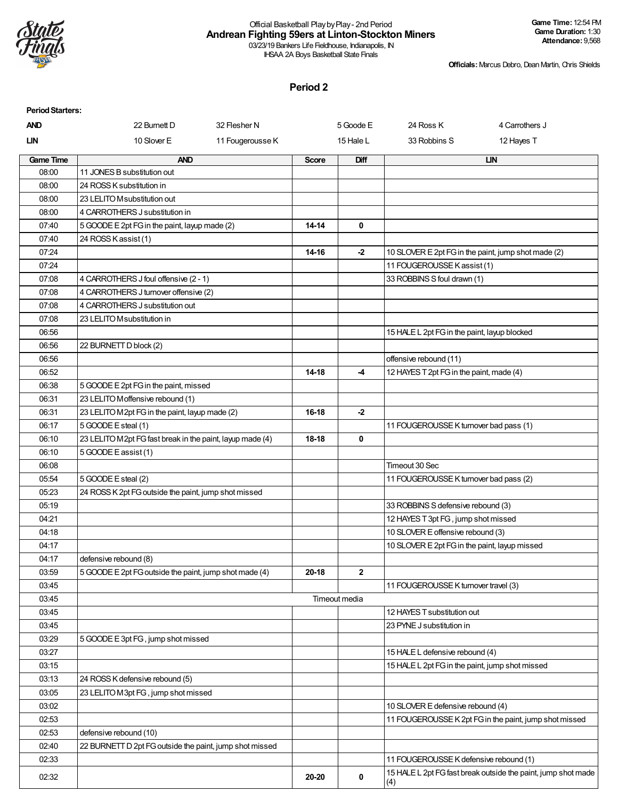

#### Official Basketball PlaybyPlay- 2nd Period **Andrean Fighting 59ers at Linton-Stockton Miners** 03/23/19 Bankers Life Fieldhouse, Indianapolis, IN

IHSAA 2A Boys Basketball State Finals

**Officials:**Marcus Debro, Dean Martin, Chris Shields

| <b>Period Starters:</b> |                                                           |                  |              |               |                                                     |                                                               |
|-------------------------|-----------------------------------------------------------|------------------|--------------|---------------|-----------------------------------------------------|---------------------------------------------------------------|
| <b>AND</b>              | 22 Burnett D                                              | 32 Flesher N     |              | 5 Goode E     | 24 Ross K                                           | 4 Carrothers J                                                |
| LIN                     | 10 Slover E                                               | 11 Fougerousse K |              | 15 Hale L     | 33 Robbins S                                        | 12 Hayes T                                                    |
| <b>Game Time</b>        | <b>AND</b>                                                |                  | <b>Score</b> | Diff          |                                                     | <b>LIN</b>                                                    |
| 08:00                   | 11 JONES B substitution out                               |                  |              |               |                                                     |                                                               |
| 08:00                   | 24 ROSS K substitution in                                 |                  |              |               |                                                     |                                                               |
| 08:00                   | 23 LELITO M substitution out                              |                  |              |               |                                                     |                                                               |
| 08:00                   | 4 CARROTHERS J substitution in                            |                  |              |               |                                                     |                                                               |
| 07:40                   | 5 GOODE E 2pt FG in the paint, layup made (2)             |                  | 14-14        | 0             |                                                     |                                                               |
| 07:40                   | 24 ROSS K assist (1)                                      |                  |              |               |                                                     |                                                               |
| 07:24                   |                                                           |                  | 14-16        | $-2$          | 10 SLOVER E 2pt FG in the paint, jump shot made (2) |                                                               |
| 07:24                   |                                                           |                  |              |               | 11 FOUGEROUSSE K assist (1)                         |                                                               |
| 07:08                   | 4 CARROTHERS J foul offensive (2 - 1)                     |                  |              |               | 33 ROBBINS S foul drawn (1)                         |                                                               |
| 07:08                   | 4 CARROTHERS J turnover offensive (2)                     |                  |              |               |                                                     |                                                               |
| 07:08                   | 4 CARROTHERS J substitution out                           |                  |              |               |                                                     |                                                               |
| 07:08                   | 23 LELITO Msubstitution in                                |                  |              |               |                                                     |                                                               |
| 06:56                   |                                                           |                  |              |               | 15 HALE L 2pt FG in the paint, layup blocked        |                                                               |
| 06:56                   | 22 BURNETT D block (2)                                    |                  |              |               |                                                     |                                                               |
| 06:56                   |                                                           |                  |              |               | offensive rebound (11)                              |                                                               |
| 06:52                   |                                                           |                  | 14-18        | -4            | 12 HAYES T 2pt FG in the paint, made (4)            |                                                               |
| 06:38                   | 5 GOODE E 2pt FG in the paint, missed                     |                  |              |               |                                                     |                                                               |
| 06:31                   | 23 LELITO Moffensive rebound (1)                          |                  |              |               |                                                     |                                                               |
| 06:31                   | 23 LELITO M2pt FG in the paint, layup made (2)            |                  | 16-18        | $-2$          |                                                     |                                                               |
| 06:17                   | 5 GOODE E steal (1)                                       |                  |              |               | 11 FOUGEROUSSE K turnover bad pass (1)              |                                                               |
| 06:10                   | 23 LELITO M2pt FG fast break in the paint, layup made (4) |                  | 18-18        | 0             |                                                     |                                                               |
| 06:10                   | 5 GOODE E assist (1)                                      |                  |              |               |                                                     |                                                               |
| 06:08                   |                                                           |                  |              |               | Timeout 30 Sec                                      |                                                               |
| 05:54                   | 5 GOODE E steal (2)                                       |                  |              |               | 11 FOUGEROUSSE K turnover bad pass (2)              |                                                               |
| 05:23                   | 24 ROSS K 2pt FG outside the paint, jump shot missed      |                  |              |               |                                                     |                                                               |
| 05:19                   |                                                           |                  |              |               | 33 ROBBINS S defensive rebound (3)                  |                                                               |
| 04:21                   |                                                           |                  |              |               | 12 HAYES T 3pt FG, jump shot missed                 |                                                               |
| 04:18                   |                                                           |                  |              |               | 10 SLOVER E offensive rebound (3)                   |                                                               |
| 04:17                   |                                                           |                  |              |               | 10 SLOVER E 2pt FG in the paint, layup missed       |                                                               |
| 04:17                   | defensive rebound (8)                                     |                  |              |               |                                                     |                                                               |
| 03:59                   | 5 GOODE E 2pt FG outside the paint, jump shot made (4)    |                  | 20-18        | $\mathbf{2}$  |                                                     |                                                               |
| 03:45                   |                                                           |                  |              |               | 11 FOUGEROUSSE K turnover travel (3)                |                                                               |
| 03:45                   |                                                           |                  |              | Timeout media |                                                     |                                                               |
| 03:45                   |                                                           |                  |              |               | 12 HAYES T substitution out                         |                                                               |
| 03:45                   |                                                           |                  |              |               | 23 PYNE J substitution in                           |                                                               |
| 03:29                   | 5 GOODE E 3pt FG, jump shot missed                        |                  |              |               |                                                     |                                                               |
| 03:27                   |                                                           |                  |              |               | 15 HALE L defensive rebound (4)                     |                                                               |
| 03:15                   |                                                           |                  |              |               | 15 HALE L 2pt FG in the paint, jump shot missed     |                                                               |
| 03:13                   | 24 ROSS K defensive rebound (5)                           |                  |              |               |                                                     |                                                               |
| 03:05                   | 23 LELITO M3pt FG, jump shot missed                       |                  |              |               |                                                     |                                                               |
| 03:02                   |                                                           |                  |              |               | 10 SLOVER E defensive rebound (4)                   |                                                               |
| 02:53                   |                                                           |                  |              |               |                                                     | 11 FOUGEROUSSE K 2pt FG in the paint, jump shot missed        |
| 02:53                   | defensive rebound (10)                                    |                  |              |               |                                                     |                                                               |
| 02:40                   | 22 BURNETT D 2pt FG outside the paint, jump shot missed   |                  |              |               |                                                     |                                                               |
| 02:33                   |                                                           |                  |              |               | 11 FOUGEROUSSE K defensive rebound (1)              |                                                               |
| 02:32                   |                                                           |                  | 20-20        | 0             | (4)                                                 | 15 HALE L 2pt FG fast break outside the paint, jump shot made |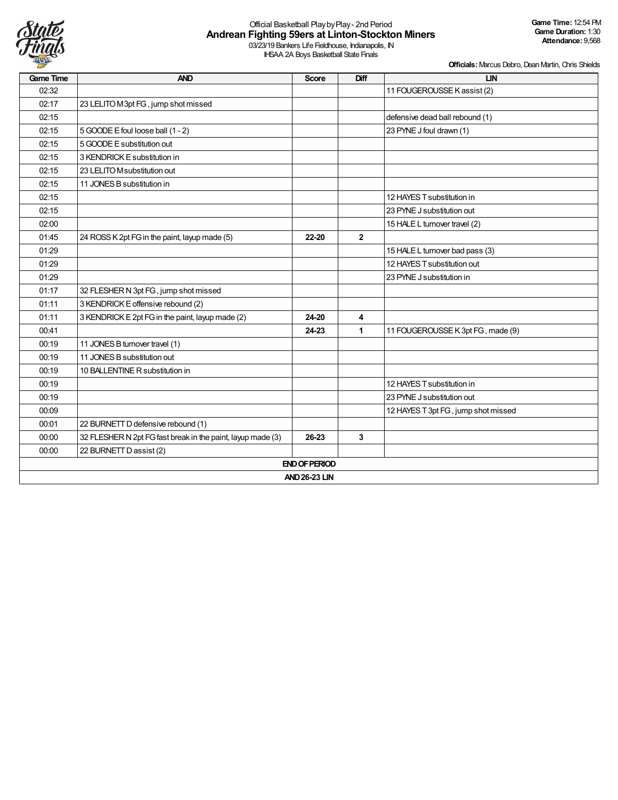

# Official Basketball PlaybyPlay- 2nd Period **Andrean Fighting 59ers at Linton-Stockton Miners**

03/23/19 Bankers Life Fieldhouse, Indianapolis, IN IHSAA 2A Boys Basketball State Finals

| <b>Game Time</b> | <b>AND</b>                                                  | <b>Score</b>         | Diff           | <b>LIN</b>                          |
|------------------|-------------------------------------------------------------|----------------------|----------------|-------------------------------------|
| 02:32            |                                                             |                      |                | 11 FOUGEROUSSE K assist (2)         |
| 02:17            | 23 LELITO M3pt FG, jump shot missed                         |                      |                |                                     |
| 02:15            |                                                             |                      |                | defensive dead ball rebound (1)     |
| 02:15            | 5 GOODE E foul loose ball (1 - 2)                           |                      |                | 23 PYNE J foul drawn (1)            |
| 02:15            | 5 GOODE E substitution out                                  |                      |                |                                     |
| 02:15            | 3 KENDRICK E substitution in                                |                      |                |                                     |
| 02:15            | 23 LELITO M substitution out                                |                      |                |                                     |
| 02:15            | 11 JONES B substitution in                                  |                      |                |                                     |
| 02:15            |                                                             |                      |                | 12 HAYES T substitution in          |
| 02:15            |                                                             |                      |                | 23 PYNE J substitution out          |
| 02:00            |                                                             |                      |                | 15 HALE L turnover travel (2)       |
| 01:45            | 24 ROSS K 2pt FG in the paint, layup made (5)               | 22-20                | $\overline{2}$ |                                     |
| 01:29            |                                                             |                      |                | 15 HALE L turnover bad pass (3)     |
| 01:29            |                                                             |                      |                | 12 HAYES T substitution out         |
| 01:29            |                                                             |                      |                | 23 PYNE J substitution in           |
| 01:17            | 32 FLESHER N 3pt FG, jump shot missed                       |                      |                |                                     |
| 01:11            | 3 KENDRICK E offensive rebound (2)                          |                      |                |                                     |
| 01:11            | 3 KENDRICK E 2pt FG in the paint, layup made (2)            | 24-20                | 4              |                                     |
| 00:41            |                                                             | 24-23                | $\mathbf{1}$   | 11 FOUGEROUSSE K 3pt FG, made (9)   |
| 00:19            | 11 JONES B turnover travel (1)                              |                      |                |                                     |
| 00:19            | 11 JONES B substitution out                                 |                      |                |                                     |
| 00:19            | 10 BALLENTINE R substitution in                             |                      |                |                                     |
| 00:19            |                                                             |                      |                | 12 HAYES T substitution in          |
| 00:19            |                                                             |                      |                | 23 PYNE J substitution out          |
| 00:09            |                                                             |                      |                | 12 HAYES T 3pt FG, jump shot missed |
| 00:01            | 22 BURNETT D defensive rebound (1)                          |                      |                |                                     |
| 00:00            | 32 FLESHER N 2pt FG fast break in the paint, layup made (3) | 26-23                | 3              |                                     |
| 00:00            | 22 BURNETT D assist (2)                                     |                      |                |                                     |
|                  |                                                             | <b>END OF PERIOD</b> |                |                                     |
|                  |                                                             | <b>AND 26-23 LIN</b> |                |                                     |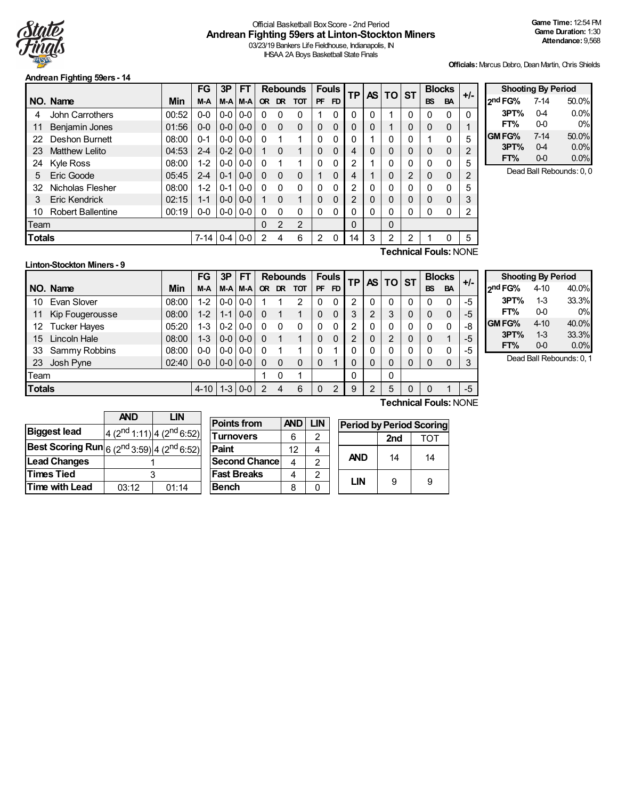

# Official Basketball BoxScore - 2nd Period **Andrean Fighting 59ers at Linton-Stockton Miners**

03/23/19 Bankers Life Fieldhouse, Indianapolis, IN IHSAA 2A Boys Basketball State Finals

**Officials:**Marcus Debro, Dean Martin, Chris Shields

#### **Andrean Fighting 59ers - 14**

|               |                              |       | <b>FG</b> | 3P      | <b>FT</b> |           |                | <b>Rebounds</b> |           | <b>Fouls</b>   | ТP             | <b>AS</b> | TO. | <b>ST</b> |             | <b>Blocks</b> | +/-            |                |
|---------------|------------------------------|-------|-----------|---------|-----------|-----------|----------------|-----------------|-----------|----------------|----------------|-----------|-----|-----------|-------------|---------------|----------------|----------------|
|               | NO. Name                     | Min   | M-A       | M-A     | $M-A$     | <b>OR</b> | DR.            | <b>TOT</b>      | <b>PF</b> | F <sub>D</sub> |                |           |     |           | <b>BS</b>   | <b>BA</b>     |                | 2 <sup>n</sup> |
| 4             | <b>John Carrothers</b>       | 00:52 | $0 - 0$   | $0-0$   | $0-0$     | 0         | 0              | 0               |           | 0              | 0              | 0         |     | 0         | 0           | $\Omega$      | $\mathbf{0}$   |                |
| 11            | <b>Benjamin Jones</b>        | 01:56 | $0-0$     | $0-0$   | $0 - 0$   | 0         | $\Omega$       | $\Omega$        | $\Omega$  | $\Omega$       | 0              | 0         |     | 0         | $\mathbf 0$ | $\mathbf 0$   | и              |                |
| 22            | Deshon Burnett               | 08:00 | $0 - 1$   | $0-0$   | $0-0$     | 0         |                | 1               | 0         | 0              | 0              |           | 0   | 0         |             | $\Omega$      | 5              | <b>GI</b>      |
| 23            | <b>Matthew Lelito</b>        | 04:53 | $2 - 4$   | $0-2$   | $0 - 0$   |           | $\Omega$       | 1               | $\Omega$  | $\Omega$       | 4              | 0         | 0   | 0         | $\mathbf 0$ | $\mathbf{0}$  | $\overline{2}$ |                |
| 24            | <b>Kyle Ross</b>             | 08:00 | $1 - 2$   | 0-0     | $0 - 0$   | $\Omega$  |                | 1               | 0         | $\Omega$       | 2              |           | 0   | 0         | 0           | $\Omega$      | 5              |                |
| 5             | Eric Goode                   | 05:45 | $2 - 4$   | $0 - 1$ | $0 - 0$   | 0         | $\Omega$       | $\Omega$        |           | $\Omega$       | 4              |           | 0   | 2         | $\Omega$    | $\mathbf{0}$  | 2              |                |
| 32            | Nicholas Flesher             | 08:00 | $1 - 2$   | $0 - 1$ | $0-0$     | 0         | 0              | $\mathbf{0}$    | 0         | 0              | $\overline{2}$ | 0         | 0   | 0         | 0           | 0             | 5              |                |
| 3             | Eric Kendrick                | 02:15 | $1 - 1$   | $0 - 0$ | $0 - 0$   | 1         | $\Omega$       | 1               | 0         | $\Omega$       | 2              | 0         | 0   | 0         | $\Omega$    | 0             | 3              |                |
| 10            | <b>Robert Ballentine</b>     | 00:19 | $0-0$     | $0-0$   | $0 - 0$   | 0         | $\mathbf{0}$   | $\mathbf{0}$    | 0         | 0              | $\mathbf 0$    | 0         | 0   | 0         | 0           | 0             | 2              |                |
| Team          |                              |       |           |         |           | 0         | $\overline{2}$ | 2               |           |                | $\mathbf 0$    |           | 0   |           |             |               |                |                |
| <b>Totals</b> |                              |       | $7 - 14$  | $0-4$   | $0-0$     | 2         | 4              | 6               | 2         | 0              | 14             | 3         | 2   | 2         |             | 0             | 5              |                |
|               | <b>Technical Fouls:</b> NONE |       |           |         |           |           |                |                 |           |                |                |           |     |           |             |               |                |                |

| <b>Shooting By Period</b> |          |       |  |  |  |  |  |  |  |  |  |  |
|---------------------------|----------|-------|--|--|--|--|--|--|--|--|--|--|
| 2 <sup>nd</sup> FG%       | $7 - 14$ | 50.0% |  |  |  |  |  |  |  |  |  |  |
| 3PT%                      | 04       | 0.0%  |  |  |  |  |  |  |  |  |  |  |
| FT%                       | 00       | 0%    |  |  |  |  |  |  |  |  |  |  |
| GM FG%                    | 7-14     | 50.0% |  |  |  |  |  |  |  |  |  |  |
| 3PT%                      | 0-4      | 0.0%  |  |  |  |  |  |  |  |  |  |  |
| FT%                       | $0-0$    | 0.0%  |  |  |  |  |  |  |  |  |  |  |

Dead Ball Rebounds: 0, 0

#### **Linton-Stockton Miners - 9**

**NO.** Name Min **FG 3P FT Rebounds Fouls TP AS TO ST**  $\begin{bmatrix} \n\text{FG} & 3\text{P} & \n\end{bmatrix}$   $\begin{bmatrix} \text{FT} & \text{Rebounds} & \text{Fously} \\ \n\text{OF} & \text{DF} & \text{FD} & \n\end{bmatrix}$   $\begin{bmatrix} \text{TP} & \text{AS} & \text{DT} \\ \n\end{bmatrix}$   $\begin{bmatrix} \text{Blocks} & \text{BAS} \\ \text{BS} & \text{BA} & \n\end{bmatrix}$  +/-10 Evan Slover (08:00 1-2 0-0 0-0 1 1 2 0 0 2 0 0 0 0 0 0 -5<br>11 Kip Fougerousse (08:00 1-2 1-1 0-0 0 1 1 0 0 3 2 3 0 0 0 -5 11 Kip Fougerousse 08:00 1-2 1-1 0-0 0 1 1 0 0 3 2 3 0 0 0 -5 12 Tucker Hayes 05:20 1-3 0-2 0-0 0 0 0 0 0 2 0 0 0 0 0 -8 15 Lincoln Hale 08:00 1-3 0-0 0-0 0 1 1 0 0 2 0 2 0 0 1 -5 33 Sammy Robbins 08:00 0-0 0-0 0-0 0 1 1 0 1 0 0 0 0 0 0 -5 23 Josh Pyne 02:40 0-0 0-0 0-0 0 0 0 0 1 0 0 0 0 0 0 3 Team 1 0 1 0 0 **Totals** 4-10 1-3 0-0 2 4 6 0 2 9 2 5 0 0 1 -5

|         | <b>Shooting By Period</b> |       |
|---------|---------------------------|-------|
| 2nd FG% | $4 - 10$                  | 40.0% |
| 3PT%    | $1-3$                     | 33.3% |
| FT%     | 0-0                       | 0%    |
| GM FG%  | 4-10                      | 40.0% |
| 3PT%    | $1-3$                     | 33.3% |
| FT%     | $0-0$                     | 0.0%  |

Dead Ball Rebounds: 0, 1

**Technical Fouls:**NONE

|                                                                      | <b>AND</b><br>LIN |                                                   |  |  |  |  |  |  |
|----------------------------------------------------------------------|-------------------|---------------------------------------------------|--|--|--|--|--|--|
| <b>Biggest lead</b>                                                  |                   | 4 (2 <sup>nd</sup> 1:11) 4 (2 <sup>nd</sup> 6:52) |  |  |  |  |  |  |
| <b>Best Scoring Run</b> $ 6 (2^{nd} 3:59) $ 4 (2 <sup>nd</sup> 6:52) |                   |                                                   |  |  |  |  |  |  |
| <b>Lead Changes</b>                                                  |                   |                                                   |  |  |  |  |  |  |
| <b>Times Tied</b>                                                    |                   |                                                   |  |  |  |  |  |  |
| <b>Time with Lead</b>                                                | 03:12             | 01:14                                             |  |  |  |  |  |  |

| <b>Points from</b> | <b>AND</b> | LIN | <b>Period by Period Scoring</b> |                 |     |  |  |  |  |  |  |  |
|--------------------|------------|-----|---------------------------------|-----------------|-----|--|--|--|--|--|--|--|
| Turnovers          | 6          |     |                                 | 2 <sub>nd</sub> | тот |  |  |  |  |  |  |  |
| Paint              | 12         |     |                                 |                 |     |  |  |  |  |  |  |  |
| Second Chance      | 4          |     | <b>AND</b>                      | 14              | 14  |  |  |  |  |  |  |  |
| <b>Fast Breaks</b> |            |     |                                 |                 |     |  |  |  |  |  |  |  |
| Bench              |            |     | LIN                             | 9               |     |  |  |  |  |  |  |  |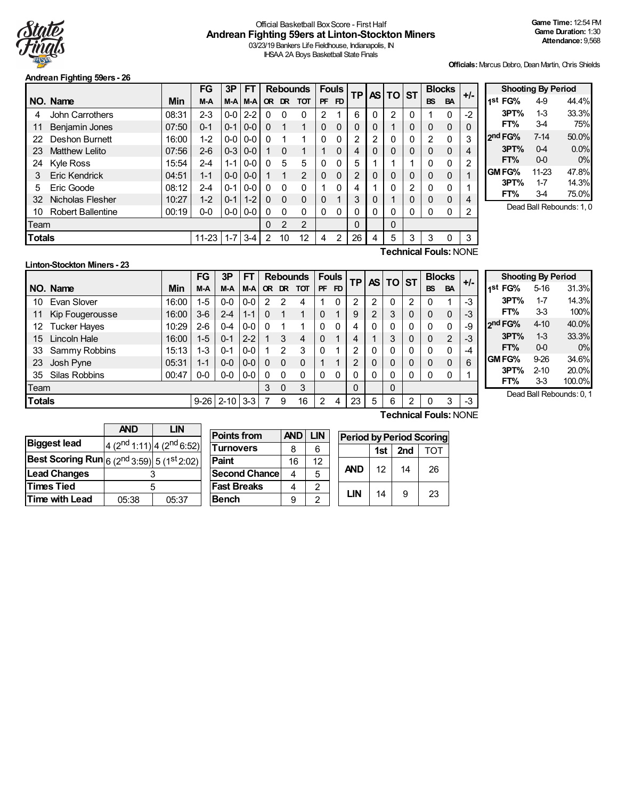

#### Official Basketball Box Score - First Half **Andrean Fighting 59ers at Linton-Stockton Miners** 03/23/19 Bankers Life Fieldhouse, Indianapolis, IN

IHSAA 2A Boys Basketball State Finals

#### **Andrean Fighting 59ers - 26**

**Officials:**Marcus Debro, Dean Martin, Chris Shields

|                                           |                          |       | FG      | 3P      | <b>FT</b> |              |           | <b>Rebounds</b> |           | <b>Fouls</b> | <b>TP</b>      |   | AS TO ST       |                |                              | <b>Blocks</b> | $+/-$ |
|-------------------------------------------|--------------------------|-------|---------|---------|-----------|--------------|-----------|-----------------|-----------|--------------|----------------|---|----------------|----------------|------------------------------|---------------|-------|
|                                           | NO. Name                 | Min   | M-A     | M-A     | M-A       | <b>OR</b>    | <b>DR</b> | <b>TOT</b>      | <b>PF</b> | FD.          |                |   |                |                | <b>BS</b>                    | <b>BA</b>     |       |
| 4                                         | John Carrothers          | 08:31 | $2 - 3$ | $0-0$   | $2 - 2$   | 0            | 0         | 0               | 2         |              | 6              | 0 | $\overline{2}$ | 0              |                              | $\mathbf 0$   | $-2$  |
| 11                                        | <b>Benjamin Jones</b>    | 07:50 | $0 - 1$ | $0 - 1$ | $0 - 0$   | $\mathbf{0}$ |           | 1               | $\Omega$  | 0            | 0              | 0 |                | 0              | 0                            | $\mathbf 0$   | 0     |
| 22                                        | Deshon Burnett           | 16:00 | $1 - 2$ | $0-0$   | $0 - 0$   | $\Omega$     |           | 1               | $\Omega$  | 0            | 2              | 2 | 0              | 0              | 2                            | $\mathbf 0$   | 3     |
| 23                                        | <b>Matthew Lelito</b>    | 07:56 | $2 - 6$ | $0 - 3$ | $0 - 0$   |              | $\Omega$  | 1               |           | 0            | 4              | 0 | 0              | 0              | 0                            | 0             | 4     |
| 24                                        | <b>Kyle Ross</b>         | 15:54 | $2 - 4$ | $1 - 1$ | $0-0$     | 0            | 5         | 5               | $\Omega$  | 0            | 5              |   |                | 4              | 0                            | $\Omega$      | 2     |
| 3                                         | <b>Eric Kendrick</b>     | 04:51 | $1 - 1$ | $0 - 0$ | $0 - 0$   |              | 1         | 2               | $\Omega$  | 0            | $\overline{2}$ | 0 | 0              | 0              | $\Omega$                     | $\Omega$      |       |
| 5                                         | Eric Goode               | 08:12 | $2 - 4$ | $0 - 1$ | $0-0$     | 0            | $\Omega$  | 0               |           | 0            | 4              |   | 0              | $\overline{2}$ | 0                            | $\mathbf 0$   |       |
| 32                                        | Nicholas Flesher         | 10:27 | $1 - 2$ | $0 - 1$ | $1 - 2$   | $\mathbf{0}$ | $\Omega$  | $\Omega$        | 0         | 4            | 3              | 0 |                | 0              | 0                            | $\Omega$      | 4     |
| 10                                        | <b>Robert Ballentine</b> | 00:19 | $0-0$   | $0 - 0$ | $0-0$     | 0            | $\Omega$  | 0               | $\Omega$  | 0            | 0              | 0 | 0              | 0              | 0                            | $\Omega$      | 2     |
|                                           | Team                     |       |         |         |           |              | 2         | $\overline{2}$  |           |              | 0              |   | 0              |                |                              |               |       |
| Totals<br>$1 - 7$<br>$11 - 23$<br>$3 - 4$ |                          |       |         |         |           | 2            | 10        | 12              | 4         | 2            | 26             | 4 | 5              | 3              | 3                            | 0             | 3     |
|                                           |                          |       |         |         |           |              |           |                 |           |              |                |   |                |                | <b>Technical Fouls: NONE</b> |               |       |

| 49<br>$1-3$<br>34 | 44.4%<br>33.3%           |
|-------------------|--------------------------|
|                   |                          |
|                   |                          |
|                   | 75%                      |
| $7 - 14$          | 50.0%                    |
| $0-4$             | 0.0%                     |
| $0-0$             | 0%                       |
| 11-23             | 47.8%                    |
| $1 - 7$           | 14.3%                    |
| 34                | 75.0%                    |
|                   | Dead Ball Rebounds: 1, 0 |

# **Linton-Stockton Miners - 23**

|                                                  |                       |       | FG      | 3P      | FT      |           |                | <b>Rebounds</b> |           | <b>Fouls</b> | <b>TP</b> |   | AS TO ST |   |           | <b>Blocks</b>  | $+/-$ |
|--------------------------------------------------|-----------------------|-------|---------|---------|---------|-----------|----------------|-----------------|-----------|--------------|-----------|---|----------|---|-----------|----------------|-------|
|                                                  | NO. Name              | Min   | M-A     | M-A     | M-A     | <b>OR</b> | DR.            | <b>TOT</b>      | <b>PF</b> | FD.          |           |   |          |   | <b>BS</b> | <b>BA</b>      |       |
| 10                                               | Evan Slover           | 16:00 | 1-5     | $0-0$   | $0-0$   | 2         | 2              | 4               |           | 0            | 2         | 2 | 0        | 2 | O         |                | $-3$  |
| 11                                               | Kip Fougerousse       | 16:00 | 3-6     | $2 - 4$ | $1 - 1$ | 0         |                |                 | $\Omega$  |              | 9         | っ | 3        | 0 | 0         | $\mathbf 0$    | -3    |
| 12                                               | <b>Tucker Hayes</b>   | 10:29 | 2-6     | $0 - 4$ | $0 - 0$ |           |                |                 |           | $\Omega$     | 4         | 0 | 0        | 0 | 0         | 0              | -9    |
| 15 <sup>1</sup>                                  | Lincoln Hale          | 16:00 | $1 - 5$ | $0 - 1$ | $2 - 2$ |           | 3              | 4               | 0         |              | 4         |   | 3        | 0 | 0         | $\overline{2}$ | $-3$  |
| 33                                               | Sammy Robbins         | 15:13 | $1 - 3$ | $0 - 1$ | $0-0$   |           | $\overline{2}$ | 3               | $\Omega$  |              | 2         | 0 | 0        | 0 | 0         | 0              | -4    |
| 23                                               | Josh Pyne             | 05:31 | $1 - 1$ | $0 - 0$ | $0-0$   | $\Omega$  | 0              | $\Omega$        |           |              | 2         | 0 | 0        | 0 | $\Omega$  | $\mathbf 0$    | 6     |
| 35                                               | <b>Silas Robbins</b>  | 00:47 | $0-0$   | $0-0$   | $0-0$   |           | 0              | 0               | 0         | 0            | 0         | 0 | 0        | 0 | 0         | 0              |       |
| Team                                             |                       |       |         |         |         |           | 0              | 3               |           |              | 0         |   | 0        |   |           |                |       |
| <b>Totals</b><br>$9 - 26$<br>$2 - 10$<br>$3 - 3$ |                       |       |         |         |         |           | 9              | 16              | 2         | 4            | 23        | 5 | 6        | 2 | 0         | 3              | -3    |
|                                                  | Technical Fouls: NONE |       |         |         |         |           |                |                 |           |              |           |   |          |   |           |                |       |

| <b>Shooting By Period</b> |          |        |  |  |  |  |  |
|---------------------------|----------|--------|--|--|--|--|--|
| 1 <sup>st</sup> FG%       | $5 - 16$ | 31.3%  |  |  |  |  |  |
| 3PT%                      | $1 - 7$  | 14.3%  |  |  |  |  |  |
| FT%                       | 33       | 100%   |  |  |  |  |  |
| 2nd FG%                   | $4 - 10$ | 40.0%  |  |  |  |  |  |
| 3PT%                      | $1-3$    | 33.3%  |  |  |  |  |  |
| FT%                       | $0-0$    | 0%     |  |  |  |  |  |
| GMFG%                     | $9-26$   | 34.6%  |  |  |  |  |  |
| 3PT%                      | $2 - 10$ | 20.0%  |  |  |  |  |  |
| FT%                       | 33       | 100.0% |  |  |  |  |  |

Dead Ball Rebounds: 0, 1

|                                                                                   | <b>AND</b><br>LIN |                                                   |  |  |  |  |  |
|-----------------------------------------------------------------------------------|-------------------|---------------------------------------------------|--|--|--|--|--|
| <b>Biggest lead</b>                                                               |                   | 4 (2 <sup>nd</sup> 1:11) 4 (2 <sup>nd</sup> 6:52) |  |  |  |  |  |
| <b>Best Scoring Run</b> $ _6$ (2 <sup>nd</sup> 3:59) $ _5$ (1 <sup>st</sup> 2:02) |                   |                                                   |  |  |  |  |  |
| <b>Lead Changes</b>                                                               |                   |                                                   |  |  |  |  |  |
| <b>Times Tied</b>                                                                 | 5                 |                                                   |  |  |  |  |  |
| <b>Time with Lead</b>                                                             | 05:38             | 05:37                                             |  |  |  |  |  |

| <b>Points from</b>    | <b>AND</b> | LIN |
|-----------------------|------------|-----|
| <b>Turnovers</b>      | 8          | հ   |
| Paint                 | 16         | 12  |
| <b>Second Chancel</b> | 4          | 5   |
| <b>Fast Breaks</b>    |            | 2   |
| <b>Bench</b>          | g          | 2   |

| <b>Period by Period Scoring</b> |            |    |    |  |  |  |  |
|---------------------------------|------------|----|----|--|--|--|--|
|                                 | <b>TOT</b> |    |    |  |  |  |  |
| <b>AND</b>                      | 12         | 14 | 26 |  |  |  |  |

**LIN** | 14 | 9 | 23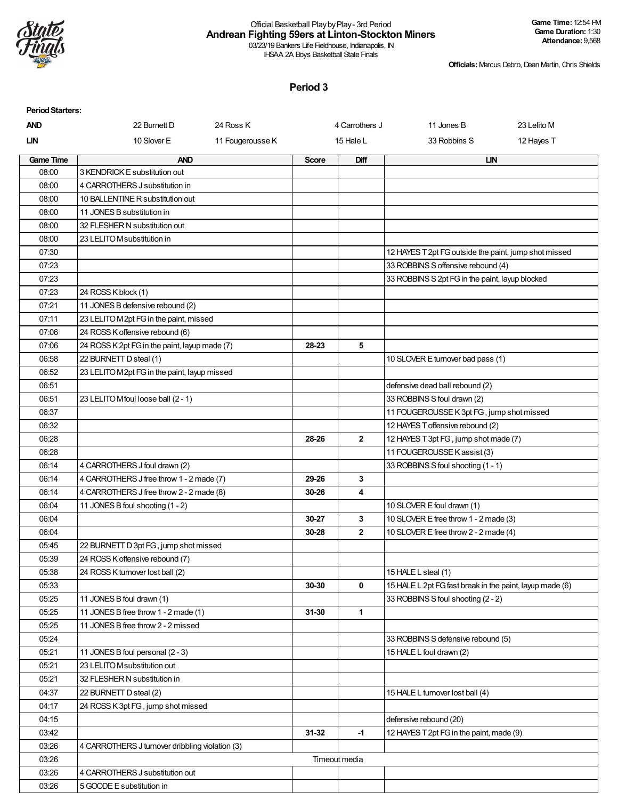

# Official Basketball PlaybyPlay- 3rd Period **Andrean Fighting 59ers at Linton-Stockton Miners**

03/23/19 Bankers Life Fieldhouse, Indianapolis, IN IHSAA 2A Boys Basketball State Finals

**Officials:**Marcus Debro, Dean Martin, Chris Shields

| <b>Period Starters:</b> |                                                 |                  |              |                             |                                                          |             |  |
|-------------------------|-------------------------------------------------|------------------|--------------|-----------------------------|----------------------------------------------------------|-------------|--|
| <b>AND</b>              | 22 Burnett D                                    | 24 Ross K        |              | 4 Carrothers J              | 11 Jones B                                               | 23 Lelito M |  |
| <b>LIN</b>              | 10 Slover E                                     | 11 Fougerousse K |              | 15 Hale L                   | 33 Robbins S                                             | 12 Hayes T  |  |
| <b>Game Time</b>        | <b>AND</b>                                      |                  | <b>Score</b> | Diff                        | <b>LIN</b>                                               |             |  |
| 08:00                   | 3 KENDRICK E substitution out                   |                  |              |                             |                                                          |             |  |
| 08:00                   | 4 CARROTHERS J substitution in                  |                  |              |                             |                                                          |             |  |
| 08:00                   | 10 BALLENTINE R substitution out                |                  |              |                             |                                                          |             |  |
| 08:00                   | 11 JONES B substitution in                      |                  |              |                             |                                                          |             |  |
| 08:00                   | 32 FLESHER N substitution out                   |                  |              |                             |                                                          |             |  |
| 08:00                   | 23 LELITO Msubstitution in                      |                  |              |                             |                                                          |             |  |
| 07:30                   |                                                 |                  |              |                             | 12 HAYES T 2pt FG outside the paint, jump shot missed    |             |  |
| 07:23                   |                                                 |                  |              |                             | 33 ROBBINS S offensive rebound (4)                       |             |  |
| 07:23                   |                                                 |                  |              |                             | 33 ROBBINS S 2pt FG in the paint, layup blocked          |             |  |
| 07:23                   | 24 ROSS K block (1)                             |                  |              |                             |                                                          |             |  |
| 07:21                   | 11 JONES B defensive rebound (2)                |                  |              |                             |                                                          |             |  |
| 07:11                   | 23 LELITO M2pt FG in the paint, missed          |                  |              |                             |                                                          |             |  |
| 07:06                   | 24 ROSS K offensive rebound (6)                 |                  |              |                             |                                                          |             |  |
| 07:06                   | 24 ROSS K 2pt FG in the paint, layup made (7)   |                  | 28-23        | 5                           |                                                          |             |  |
| 06:58                   | 22 BURNETT D steal (1)                          |                  |              |                             | 10 SLOVER E turnover bad pass (1)                        |             |  |
| 06:52                   | 23 LELITO M2pt FG in the paint, layup missed    |                  |              |                             |                                                          |             |  |
| 06:51                   |                                                 |                  |              |                             | defensive dead ball rebound (2)                          |             |  |
| 06:51                   | 23 LELITO Mfoul loose ball (2 - 1)              |                  |              |                             | 33 ROBBINS S foul drawn (2)                              |             |  |
| 06:37                   |                                                 |                  |              |                             | 11 FOUGEROUSSE K 3pt FG, jump shot missed                |             |  |
| 06:32                   |                                                 |                  |              |                             | 12 HAYES T offensive rebound (2)                         |             |  |
| 06:28                   |                                                 |                  | 28-26        | $\mathbf{2}$                | 12 HAYES T 3pt FG, jump shot made (7)                    |             |  |
| 06:28                   |                                                 |                  |              | 11 FOUGEROUSSE K assist (3) |                                                          |             |  |
| 06:14                   | 4 CARROTHERS J foul drawn (2)                   |                  |              |                             | 33 ROBBINS S foul shooting (1 - 1)                       |             |  |
| 06:14                   | 4 CARROTHERS J free throw 1 - 2 made (7)        |                  | 29-26        | 3                           |                                                          |             |  |
| 06:14                   | 4 CARROTHERS J free throw 2 - 2 made (8)        |                  | 30-26        | 4                           |                                                          |             |  |
| 06:04                   | 11 JONES B foul shooting (1 - 2)                |                  |              |                             | 10 SLOVER E foul drawn (1)                               |             |  |
| 06:04                   |                                                 |                  | 30-27        | 3                           | 10 SLOVER E free throw 1 - 2 made (3)                    |             |  |
| 06:04                   |                                                 |                  | 30-28        | $\mathbf{2}$                | 10 SLOVER E free throw 2 - 2 made (4)                    |             |  |
| 05:45                   | 22 BURNETT D 3pt FG, jump shot missed           |                  |              |                             |                                                          |             |  |
| 05:39                   | 24 ROSS K offensive rebound (7)                 |                  |              |                             |                                                          |             |  |
| 05:38                   | 24 ROSS K turnover lost ball (2)                |                  |              |                             | 15 HALE L steal (1)                                      |             |  |
| 05:33                   |                                                 |                  | 30-30        | $\mathbf 0$                 | 15 HALE L 2pt FG fast break in the paint, layup made (6) |             |  |
| 05:25                   | 11 JONES B foul drawn (1)                       |                  |              |                             | 33 ROBBINS S foul shooting (2 - 2)                       |             |  |
| 05:25                   | 11 JONES B free throw 1 - 2 made (1)            |                  | 31-30        | 1                           |                                                          |             |  |
| 05:25                   | 11 JONES B free throw 2 - 2 missed              |                  |              |                             |                                                          |             |  |
| 05:24                   |                                                 |                  |              |                             | 33 ROBBINS S defensive rebound (5)                       |             |  |
| 05:21                   | 11 JONES B foul personal (2 - 3)                |                  |              |                             | 15 HALE L foul drawn (2)                                 |             |  |
| 05:21                   | 23 LELITO M substitution out                    |                  |              |                             |                                                          |             |  |
| 05:21                   | 32 FLESHER N substitution in                    |                  |              |                             |                                                          |             |  |
| 04:37                   | 22 BURNETT D steal (2)                          |                  |              |                             | 15 HALE L turnover lost ball (4)                         |             |  |
| 04:17                   | 24 ROSS K 3pt FG, jump shot missed              |                  |              |                             |                                                          |             |  |
| 04:15                   |                                                 |                  |              |                             | defensive rebound (20)                                   |             |  |
| 03:42                   |                                                 |                  | 31-32        | $-1$                        | 12 HAYES T 2pt FG in the paint, made (9)                 |             |  |
| 03:26                   | 4 CARROTHERS J turnover dribbling violation (3) |                  |              |                             |                                                          |             |  |
| 03:26                   |                                                 |                  |              | Timeout media               |                                                          |             |  |
| 03:26                   | 4 CARROTHERS J substitution out                 |                  |              |                             |                                                          |             |  |
| 03:26                   | 5 GOODE E substitution in                       |                  |              |                             |                                                          |             |  |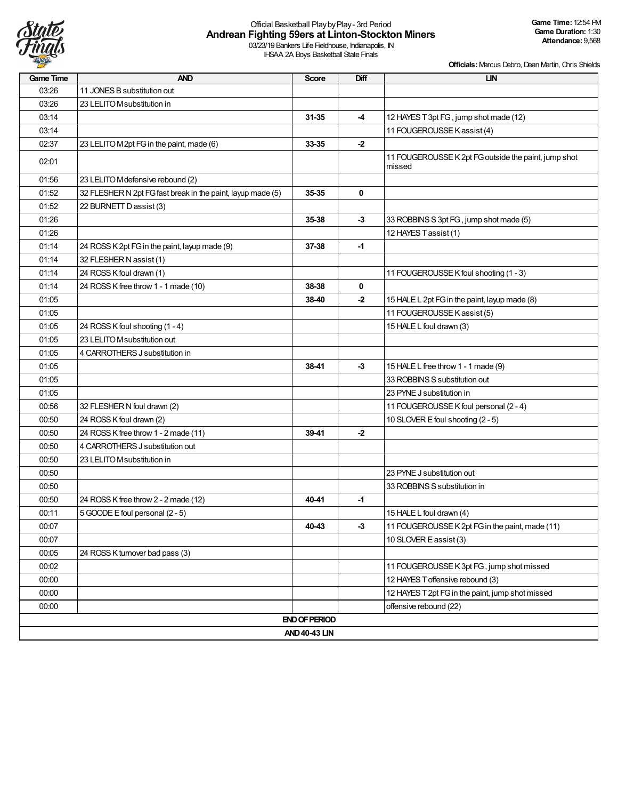

# Official Basketball PlaybyPlay- 3rd Period **Andrean Fighting 59ers at Linton-Stockton Miners**

03/23/19 Bankers Life Fieldhouse, Indianapolis, IN IHSAA 2A Boys Basketball State Finals

| Game Time | <b>AND</b>                                                  | <b>Score</b>         | Diff | <b>LIN</b>                                                     |
|-----------|-------------------------------------------------------------|----------------------|------|----------------------------------------------------------------|
| 03:26     | 11 JONES B substitution out                                 |                      |      |                                                                |
| 03:26     | 23 LELITO M substitution in                                 |                      |      |                                                                |
| 03:14     |                                                             | $31 - 35$            | -4   | 12 HAYES T 3pt FG, jump shot made (12)                         |
| 03:14     |                                                             |                      |      | 11 FOUGEROUSSE K assist (4)                                    |
| 02:37     | 23 LELITO M2pt FG in the paint, made (6)                    | 33-35                | $-2$ |                                                                |
| 02:01     |                                                             |                      |      | 11 FOUGEROUSSE K 2pt FG outside the paint, jump shot<br>missed |
| 01:56     | 23 LELITO M defensive rebound (2)                           |                      |      |                                                                |
| 01:52     | 32 FLESHER N 2pt FG fast break in the paint, layup made (5) | 35-35                | 0    |                                                                |
| 01:52     | 22 BURNETT D assist (3)                                     |                      |      |                                                                |
| 01:26     |                                                             | 35-38                | $-3$ | 33 ROBBINS S 3pt FG, jump shot made (5)                        |
| 01:26     |                                                             |                      |      | 12 HAYES T assist (1)                                          |
| 01:14     | 24 ROSS K 2pt FG in the paint, layup made (9)               | 37-38                | -1   |                                                                |
| 01:14     | 32 FLESHER N assist (1)                                     |                      |      |                                                                |
| 01:14     | 24 ROSS K foul drawn (1)                                    |                      |      | 11 FOUGEROUSSE K foul shooting (1 - 3)                         |
| 01:14     | 24 ROSS K free throw 1 - 1 made (10)                        | 38-38                | 0    |                                                                |
| 01:05     |                                                             | 38-40                | -2   | 15 HALE L 2pt FG in the paint, layup made (8)                  |
| 01:05     |                                                             |                      |      | 11 FOUGEROUSSE K assist (5)                                    |
| 01:05     | 24 ROSS K foul shooting (1 - 4)                             |                      |      | 15 HALE L foul drawn (3)                                       |
| 01:05     | 23 LELITO M substitution out                                |                      |      |                                                                |
| 01:05     | 4 CARROTHERS J substitution in                              |                      |      |                                                                |
| 01:05     |                                                             | 38-41                | $-3$ | 15 HALE L free throw 1 - 1 made (9)                            |
| 01:05     |                                                             |                      |      | 33 ROBBINS S substitution out                                  |
| 01:05     |                                                             |                      |      | 23 PYNE J substitution in                                      |
| 00:56     | 32 FLESHER N foul drawn (2)                                 |                      |      | 11 FOUGEROUSSE K foul personal (2 - 4)                         |
| 00:50     | 24 ROSS K foul drawn (2)                                    |                      |      | 10 SLOVER E foul shooting (2 - 5)                              |
| 00:50     | 24 ROSS K free throw 1 - 2 made (11)                        | 39-41                | $-2$ |                                                                |
| 00:50     | 4 CARROTHERS J substitution out                             |                      |      |                                                                |
| 00:50     | 23 LELITO M substitution in                                 |                      |      |                                                                |
| 00:50     |                                                             |                      |      | 23 PYNE J substitution out                                     |
| 00:50     |                                                             |                      |      | 33 ROBBINS S substitution in                                   |
| 00:50     | 24 ROSS K free throw 2 - 2 made (12)                        | 40-41                | $-1$ |                                                                |
| 00:11     | 5 GOODE E foul personal (2 - 5)                             |                      |      | 15 HALE L foul drawn (4)                                       |
| 00:07     |                                                             | 40-43                | -3   | 11 FOUGEROUSSE K 2pt FG in the paint, made (11)                |
| 00:07     |                                                             |                      |      | 10 SLOVER E assist (3)                                         |
| 00:05     | 24 ROSS K turnover bad pass (3)                             |                      |      |                                                                |
| 00:02     |                                                             |                      |      | 11 FOUGEROUSSE K 3pt FG, jump shot missed                      |
| 00:00     |                                                             |                      |      | 12 HAYES T offensive rebound (3)                               |
| 00:00     |                                                             |                      |      | 12 HAYES T 2pt FG in the paint, jump shot missed               |
| 00:00     |                                                             |                      |      | offensive rebound (22)                                         |
|           |                                                             | <b>END OF PERIOD</b> |      |                                                                |
|           |                                                             | <b>AND 40-43 LIN</b> |      |                                                                |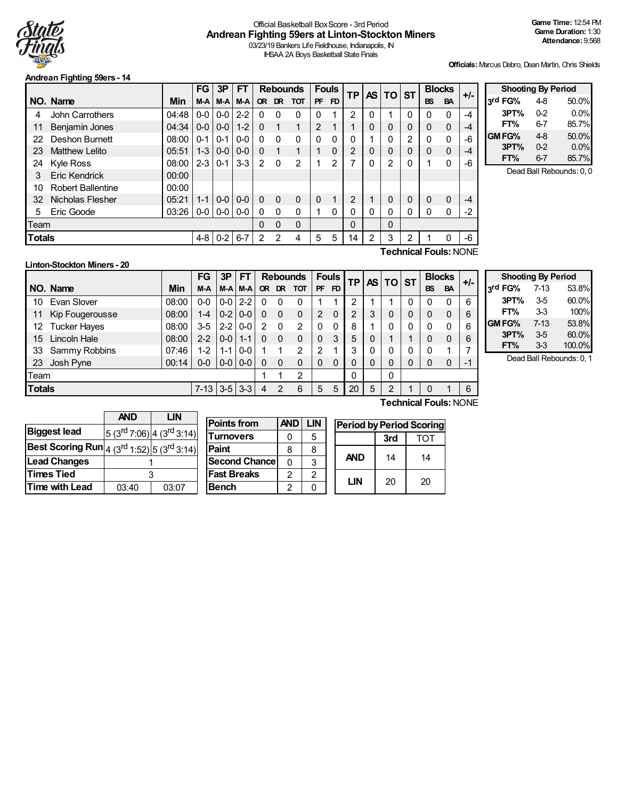

#### Official Basketball BoxScore - 3rd Period **Andrean Fighting 59ers at Linton-Stockton Miners** 03/23/19 Bankers Life Fieldhouse, Indianapolis, IN

IHSAA 2A Boys Basketball State Finals

**Officials:**Marcus Debro, Dean Martin, Chris Shields

#### **Andrean Fighting 59ers - 14**

|               |                              |       | FG      | 3P            | FT      |              | <b>Rebounds</b> |              | <b>Fouls</b>   |                | <b>TP</b><br><b>AS</b> |   | TO ST    |          |           | <b>Blocks</b> | +/-  |
|---------------|------------------------------|-------|---------|---------------|---------|--------------|-----------------|--------------|----------------|----------------|------------------------|---|----------|----------|-----------|---------------|------|
|               | NO. Name                     | Min   | M-A     | M-A           | M-A     | <b>OR</b>    | DR.             | <b>TOT</b>   | <b>PF</b>      | FD.            |                        |   |          |          | <b>BS</b> | <b>BA</b>     |      |
| 4             | John Carrothers              | 04:48 | $0-0$   | $0-0$         | $2 - 2$ | $\Omega$     | $\Omega$        | $\Omega$     | 0              |                | 2                      | 0 |          | 0        | 0         | 0             | -4   |
| 11            | Benjamin Jones               | 04:34 | $0-0$   | $0-0$         | $1 - 2$ | $\mathbf{0}$ | 1               | 1            | $\overline{2}$ | 4              |                        | 0 | $\Omega$ | 0        | $\Omega$  | $\Omega$      | $-4$ |
| 22            | <b>Deshon Burnett</b>        | 08:00 | $0 - 1$ | $0 - 1$       | $0-0$   | $\Omega$     | $\Omega$        | 0            | $\Omega$       | 0              | 0                      |   | 0        | 2        | 0         | 0             | -6   |
| 23            | <b>Matthew Lelito</b>        | 05:51 | $1 - 3$ | $0 - 0$       | $0 - 0$ | $\Omega$     |                 | 1            |                | $\mathbf{0}$   | $\overline{2}$         | 0 | 0        | 0        | 0         | 0             | $-4$ |
| 24            | <b>Kyle Ross</b>             | 08:00 | $2 - 3$ | $0 - 1$       | $3-3$   | 2            | $\Omega$        | 2            |                | $\mathfrak{p}$ | 7                      | 0 | 2        |          | 1         | $\Omega$      | -6   |
| 3             | <b>Eric Kendrick</b>         | 00:00 |         |               |         |              |                 |              |                |                |                        |   |          |          |           |               |      |
| 10            | <b>Robert Ballentine</b>     | 00:00 |         |               |         |              |                 |              |                |                |                        |   |          |          |           |               |      |
| 32            | Nicholas Flesher             | 05:21 | $1 - 1$ | $0-0$         | $0 - 0$ | $\Omega$     | $\Omega$        | $\Omega$     | $\mathbf 0$    | 1              | 2                      |   | $\Omega$ | $\Omega$ | 0         | $\Omega$      | -4   |
| 5             | Eric Goode                   | 03:26 | $0 - 0$ | $0 - 0 0 - 0$ |         | $\mathbf{0}$ | $\Omega$        | $\mathbf{0}$ |                | 0              | 0                      | 0 | 0        |          | 0         | $\Omega$      | $-2$ |
| Team          |                              |       |         |               |         | 0            | $\Omega$        | $\Omega$     |                |                | 0                      |   | $\Omega$ |          |           |               |      |
| <b>Totals</b> |                              |       | 4-8     | $0-2$         | $6 - 7$ | 2            | 2               | 4            | 5              | 5              | 14                     | 2 | 3        | 2        |           | 0             | -6   |
|               | <b>Technical Fouls: NONE</b> |       |         |               |         |              |                 |              |                |                |                        |   |          |          |           |               |      |

| <b>Shooting By Period</b> |         |       |
|---------------------------|---------|-------|
| 3rd FG%                   | 4-8     | 50.0% |
| 3PT%                      | $0 - 2$ | 0.0%  |
| FT%                       | 6-7     | 85.7% |
| GM FG%                    | $4-8$   | 50.0% |
| 3PT%                      | 02      | 0.0%  |
| FT%                       | $6-7$   | 85.7% |

Dead Ball Rebounds: 0, 0

#### **Linton-Stockton Miners - 20**

**NO.** Name Min **FG 3P FT Rebounds Fouls TP AS TO ST**  $\begin{bmatrix} \n\text{FG} & 3\text{P} & \n\end{bmatrix}$   $\begin{bmatrix} \text{FT} & \text{Rebounds} & \text{Fously} \\ \n\text{OF} & \text{DF} & \text{FD} & \n\end{bmatrix}$   $\begin{bmatrix} \text{TP} & \text{AS} & \text{DT} \\ \n\end{bmatrix}$   $\begin{bmatrix} \text{Blocks} & \text{BAS} \\ \text{BS} & \text{BA} & \n\end{bmatrix}$  +/-10 Evan Slover | 08:00 | 0-0 | 0-0 | 2-2 | 0 0 0 | 1 1 | 2 | 1 | 1 | 0 | 0 0 | 6 11 Kip Fougerousse | 08:00 | 1-4 | 0-2 | 0-0 | 0 0 0 | 2 0 | 2 | 3 | 0 | 0 | 0 | 0 | 6 12 Tucker Hayes 08:00 3-5 2-2 0-0 2 0 2 0 0 8 1 0 0 0 0 6 15 Lincoln Hale 08:00 2-2 0-0 1-1 0 0 0 0 3 5 0 1 1 0 0 6 33 Sammy Robbins | 07:46 | 1-2 | 1-1 | 0-0 | 1 | 1 | 2 | 2 | 1 | 3 | 0 | 0 | 0 | 0 | 0 | 1 | 7 23 Josh Pyne 00:14 0-0 0-0 0-0 0 0 0 0 0 0 0 0 0 0 0 -1 Team | 1 1 2 | | 0 | | 0 **Totals** 7-13 3-5 3-3 4 2 6 5 7 20 5 2 1 0 1 6

| <b>Shooting By Period</b> |          |        |  |  |  |  |  |
|---------------------------|----------|--------|--|--|--|--|--|
| 3rd FG%                   | $7 - 13$ | 53.8%  |  |  |  |  |  |
| 3PT%                      | 35       | 60.0%  |  |  |  |  |  |
| FT%                       | 33       | 100%   |  |  |  |  |  |
| GM FG%                    | $7-13$   | 53.8%  |  |  |  |  |  |
| 3PT%                      | 35       | 60.0%  |  |  |  |  |  |
| FT%                       | 33       | 100.0% |  |  |  |  |  |

Dead Ball Rebounds: 0, 1

**Technical Fouls:**NONE

|                                                                                                                   | <b>AND</b> | LIN                              |  |  |
|-------------------------------------------------------------------------------------------------------------------|------------|----------------------------------|--|--|
| <b>Biggest lead</b>                                                                                               |            | $5(3^{rd}7:06)$ 4 $(3^{rd}3:14)$ |  |  |
| <b>Best Scoring Run</b> $\left 4\right\rangle (3^{\text{rd}}1:52)\left 5\right\rangle (3^{\text{rd}}3:14)\right $ |            |                                  |  |  |
| <b>Lead Changes</b>                                                                                               |            |                                  |  |  |
| <b>Times Tied</b>                                                                                                 | 3          |                                  |  |  |
| <b>Time with Lead</b>                                                                                             | 03:40      | 03:07                            |  |  |

| <b>Points from</b>   | <b>AND</b>    | LIN            | Perio |
|----------------------|---------------|----------------|-------|
| <b>Turnovers</b>     |               | 5              |       |
| Paint                | 8             | 8              |       |
| <b>Second Chance</b> | n             | 3              |       |
| <b> Fast Breaks</b>  | $\mathcal{P}$ | $\mathfrak{p}$ |       |
| Bench                | 2             |                |       |

| <b>Period by Period Scoring</b> |     |     |  |  |  |  |  |
|---------------------------------|-----|-----|--|--|--|--|--|
|                                 | 3rd | тот |  |  |  |  |  |
| <b>AND</b>                      | 14  | 14  |  |  |  |  |  |
| LIN                             | 20  | 20  |  |  |  |  |  |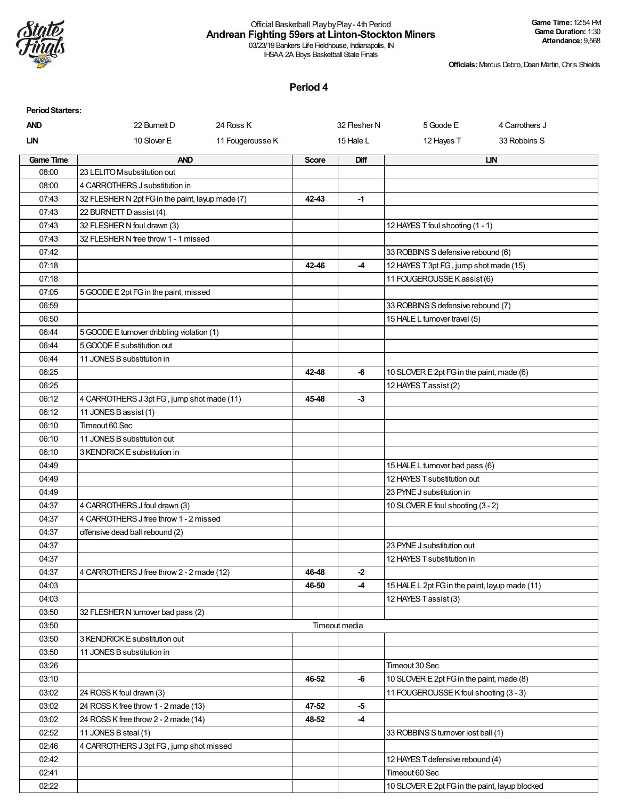

#### Official Basketball PlaybyPlay- 4th Period **Andrean Fighting 59ers at Linton-Stockton Miners** 03/23/19 Bankers Life Fieldhouse, Indianapolis, IN

IHSAA 2A Boys Basketball State Finals

**Officials:**Marcus Debro, Dean Martin, Chris Shields

| <b>Period Starters:</b> |                                                  |                  |              |               |                                                |                |
|-------------------------|--------------------------------------------------|------------------|--------------|---------------|------------------------------------------------|----------------|
| <b>AND</b>              | 22 Burnett D                                     | 24 Ross K        |              | 32 Flesher N  | 5 Goode E                                      | 4 Carrothers J |
| <b>LIN</b>              | 10 Slover E                                      | 11 Fougerousse K |              | 15 Hale L     | 12 Hayes T                                     | 33 Robbins S   |
| <b>Game Time</b>        | <b>AND</b>                                       |                  | <b>Score</b> | Diff          |                                                | <b>LIN</b>     |
| 08:00                   | 23 LELITO M substitution out                     |                  |              |               |                                                |                |
| 08:00                   | 4 CARROTHERS J substitution in                   |                  |              |               |                                                |                |
| 07:43                   | 32 FLESHER N 2pt FG in the paint, layup made (7) |                  | 42-43        | -1            |                                                |                |
| 07:43                   | 22 BURNETT D assist (4)                          |                  |              |               |                                                |                |
| 07:43                   | 32 FLESHER N foul drawn (3)                      |                  |              |               | 12 HAYES T foul shooting (1 - 1)               |                |
| 07:43                   | 32 FLESHER N free throw 1 - 1 missed             |                  |              |               |                                                |                |
| 07:42                   |                                                  |                  |              |               | 33 ROBBINS S defensive rebound (6)             |                |
| 07:18                   |                                                  |                  | 42-46        | -4            | 12 HAYES T 3pt FG, jump shot made (15)         |                |
| 07:18                   |                                                  |                  |              |               | 11 FOUGEROUSSE K assist (6)                    |                |
| 07:05                   | 5 GOODE E 2pt FG in the paint, missed            |                  |              |               |                                                |                |
| 06:59                   |                                                  |                  |              |               | 33 ROBBINS S defensive rebound (7)             |                |
| 06:50                   |                                                  |                  |              |               | 15 HALE L turnover travel (5)                  |                |
| 06:44                   | 5 GOODE E turnover dribbling violation (1)       |                  |              |               |                                                |                |
| 06:44                   | 5 GOODE E substitution out                       |                  |              |               |                                                |                |
| 06:44                   | 11 JONES B substitution in                       |                  |              |               |                                                |                |
| 06:25                   |                                                  |                  | 42-48        | -6            | 10 SLOVER E 2pt FG in the paint, made (6)      |                |
| 06:25                   |                                                  |                  |              |               | 12 HAYES T assist (2)                          |                |
| 06:12                   | 4 CARROTHERS J 3pt FG, jump shot made (11)       |                  | 45-48        | $-3$          |                                                |                |
| 06:12                   | 11 JONES B assist (1)                            |                  |              |               |                                                |                |
| 06:10                   | Timeout 60 Sec                                   |                  |              |               |                                                |                |
| 06:10                   | 11 JONES B substitution out                      |                  |              |               |                                                |                |
| 06:10                   | 3 KENDRICK E substitution in                     |                  |              |               |                                                |                |
| 04:49                   |                                                  |                  |              |               | 15 HALE L turnover bad pass (6)                |                |
| 04:49                   |                                                  |                  |              |               | 12 HAYES T substitution out                    |                |
| 04:49                   |                                                  |                  |              |               | 23 PYNE J substitution in                      |                |
| 04:37                   | 4 CARROTHERS J foul drawn (3)                    |                  |              |               | 10 SLOVER E foul shooting (3 - 2)              |                |
| 04:37                   | 4 CARROTHERS J free throw 1 - 2 missed           |                  |              |               |                                                |                |
| 04:37                   | offensive dead ball rebound (2)                  |                  |              |               |                                                |                |
| 04:37                   |                                                  |                  |              |               | 23 PYNE J substitution out                     |                |
| 04:37                   |                                                  |                  |              |               | 12 HAYES T substitution in                     |                |
| 04:37                   | 4 CARROTHERS J free throw 2 - 2 made (12)        |                  | 46-48        | $-2$          |                                                |                |
| 04:03                   |                                                  |                  | 46-50        | -4            | 15 HALE L 2pt FG in the paint, layup made (11) |                |
| 04:03                   |                                                  |                  |              |               | 12 HAYES T assist (3)                          |                |
| 03:50                   | 32 FLESHER N turnover bad pass (2)               |                  |              |               |                                                |                |
| 03:50                   |                                                  |                  |              | Timeout media |                                                |                |
| 03:50                   | 3 KENDRICK E substitution out                    |                  |              |               |                                                |                |
| 03:50                   | 11 JONES B substitution in                       |                  |              |               |                                                |                |
| 03:26                   |                                                  |                  |              |               | Timeout 30 Sec                                 |                |
| 03:10                   |                                                  |                  | 46-52        | -6            | 10 SLOVER E 2pt FG in the paint, made (8)      |                |
| 03:02                   | 24 ROSS K foul drawn (3)                         |                  |              |               | 11 FOUGEROUSSE K foul shooting (3 - 3)         |                |
| 03:02                   | 24 ROSS K free throw 1 - 2 made (13)             |                  | 47-52        | $-5$          |                                                |                |
| 03:02                   | 24 ROSS K free throw 2 - 2 made (14)             |                  | 48-52        | -4            |                                                |                |
| 02:52                   | 11 JONES B steal (1)                             |                  |              |               | 33 ROBBINS S turnover lost ball (1)            |                |
| 02:46                   | 4 CARROTHERS J 3pt FG, jump shot missed          |                  |              |               |                                                |                |
| 02:42                   |                                                  |                  |              |               | 12 HAYES T defensive rebound (4)               |                |
| 02:41                   |                                                  |                  |              |               | Timeout 60 Sec                                 |                |
| 02:22                   |                                                  |                  |              |               | 10 SLOVER E 2pt FG in the paint, layup blocked |                |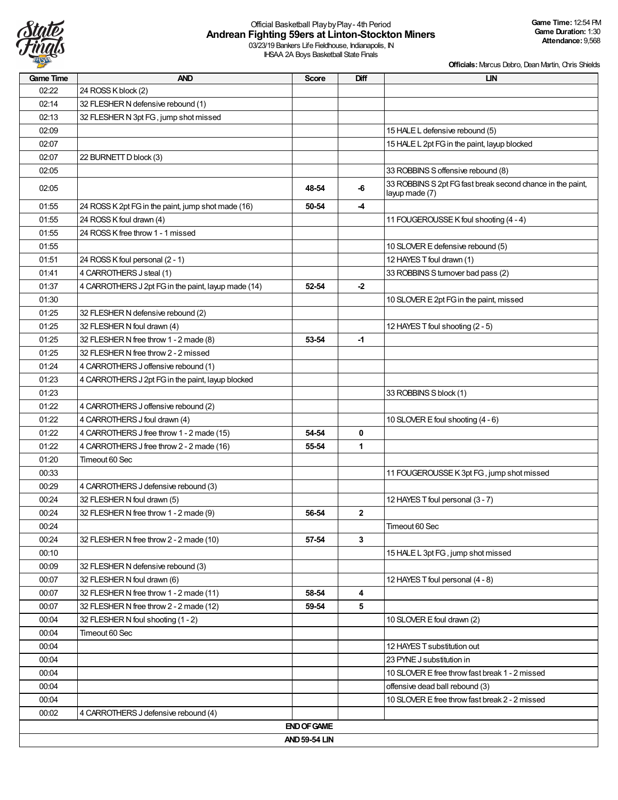

# Official Basketball PlaybyPlay- 4th Period **Andrean Fighting 59ers at Linton-Stockton Miners**

03/23/19 Bankers Life Fieldhouse, Indianapolis, IN IHSAA 2A Boys Basketball State Finals

| <b>Game Time</b> | <b>AND</b>                                          | <b>Score</b>         | Diff         | <b>LIN</b>                                                                   |
|------------------|-----------------------------------------------------|----------------------|--------------|------------------------------------------------------------------------------|
| 02:22            | 24 ROSS K block (2)                                 |                      |              |                                                                              |
| 02:14            | 32 FLESHER N defensive rebound (1)                  |                      |              |                                                                              |
| 02:13            | 32 FLESHER N 3pt FG, jump shot missed               |                      |              |                                                                              |
| 02:09            |                                                     |                      |              | 15 HALE L defensive rebound (5)                                              |
| 02:07            |                                                     |                      |              | 15 HALE L 2pt FG in the paint, layup blocked                                 |
| 02:07            | 22 BURNETT D block (3)                              |                      |              |                                                                              |
| 02:05            |                                                     |                      |              | 33 ROBBINS S offensive rebound (8)                                           |
| 02:05            |                                                     | 48-54                | $-6$         | 33 ROBBINS S 2pt FG fast break second chance in the paint,<br>layup made (7) |
| 01:55            | 24 ROSS K 2pt FG in the paint, jump shot made (16)  | 50-54                | -4           |                                                                              |
| 01:55            | 24 ROSS K foul drawn (4)                            |                      |              | 11 FOUGEROUSSE K foul shooting (4 - 4)                                       |
| 01:55            | 24 ROSS K free throw 1 - 1 missed                   |                      |              |                                                                              |
| 01:55            |                                                     |                      |              | 10 SLOVER E defensive rebound (5)                                            |
| 01:51            | 24 ROSS K foul personal (2 - 1)                     |                      |              | 12 HAYES T foul drawn (1)                                                    |
| 01:41            | 4 CARROTHERS J steal (1)                            |                      |              | 33 ROBBINS S turnover bad pass (2)                                           |
| 01:37            | 4 CARROTHERS J 2pt FG in the paint, layup made (14) | 52-54                | -2           |                                                                              |
| 01:30            |                                                     |                      |              | 10 SLOVER E 2pt FG in the paint, missed                                      |
| 01:25            | 32 FLESHER N defensive rebound (2)                  |                      |              |                                                                              |
| 01:25            | 32 FLESHER N foul drawn (4)                         |                      |              | 12 HAYES T foul shooting (2 - 5)                                             |
| 01:25            | 32 FLESHER N free throw 1 - 2 made (8)              | 53-54                | -1           |                                                                              |
| 01:25            | 32 FLESHER N free throw 2 - 2 missed                |                      |              |                                                                              |
| 01:24            | 4 CARROTHERS J offensive rebound (1)                |                      |              |                                                                              |
| 01:23            | 4 CARROTHERS J 2pt FG in the paint, layup blocked   |                      |              |                                                                              |
| 01:23            |                                                     |                      |              | 33 ROBBINS S block (1)                                                       |
| 01:22            | 4 CARROTHERS J offensive rebound (2)                |                      |              |                                                                              |
| 01:22            | 4 CARROTHERS J foul drawn (4)                       |                      |              | 10 SLOVER E foul shooting (4 - 6)                                            |
| 01:22            | 4 CARROTHERS J free throw 1 - 2 made (15)           | 54-54                | 0            |                                                                              |
| 01:22            | 4 CARROTHERS J free throw 2 - 2 made (16)           | 55-54                | $\mathbf{1}$ |                                                                              |
| 01:20            | Timeout 60 Sec                                      |                      |              |                                                                              |
| 00:33            |                                                     |                      |              | 11 FOUGEROUSSE K 3pt FG, jump shot missed                                    |
| 00:29            | 4 CARROTHERS J defensive rebound (3)                |                      |              |                                                                              |
| 00:24            | 32 FLESHER N foul drawn (5)                         |                      |              | 12 HAYES T foul personal (3 - 7)                                             |
| 00:24            | 32 FLESHER N free throw 1 - 2 made (9)              | 56-54                | $\mathbf{2}$ |                                                                              |
| 00:24            |                                                     |                      |              | Timeout 60 Sec                                                               |
| 00:24            | 32 FLESHER N free throw 2 - 2 made (10)             | 57-54                | 3            |                                                                              |
| 00:10            |                                                     |                      |              | 15 HALE L 3pt FG, jump shot missed                                           |
| 00:09            | 32 FLESHER N defensive rebound (3)                  |                      |              |                                                                              |
| 00:07            | 32 FLESHER N foul drawn (6)                         |                      |              | 12 HAYES T foul personal (4 - 8)                                             |
| 00:07            | 32 FLESHER N free throw 1 - 2 made (11)             | 58-54                | 4            |                                                                              |
| 00:07            | 32 FLESHER N free throw 2 - 2 made (12)             | 59-54                | 5            |                                                                              |
| 00:04            | 32 FLESHER N foul shooting (1 - 2)                  |                      |              | 10 SLOVER E foul drawn (2)                                                   |
| 00:04            | Timeout 60 Sec                                      |                      |              |                                                                              |
| 00:04            |                                                     |                      |              | 12 HAYES T substitution out                                                  |
| 00:04            |                                                     |                      |              | 23 PYNE J substitution in                                                    |
| 00:04            |                                                     |                      |              | 10 SLOVER E free throw fast break 1 - 2 missed                               |
| 00:04            |                                                     |                      |              | offensive dead ball rebound (3)                                              |
| 00:04            |                                                     |                      |              | 10 SLOVER E free throw fast break 2 - 2 missed                               |
| 00:02            | 4 CARROTHERS J defensive rebound (4)                |                      |              |                                                                              |
|                  |                                                     | <b>END OF GAME</b>   |              |                                                                              |
|                  |                                                     | <b>AND 59-54 LIN</b> |              |                                                                              |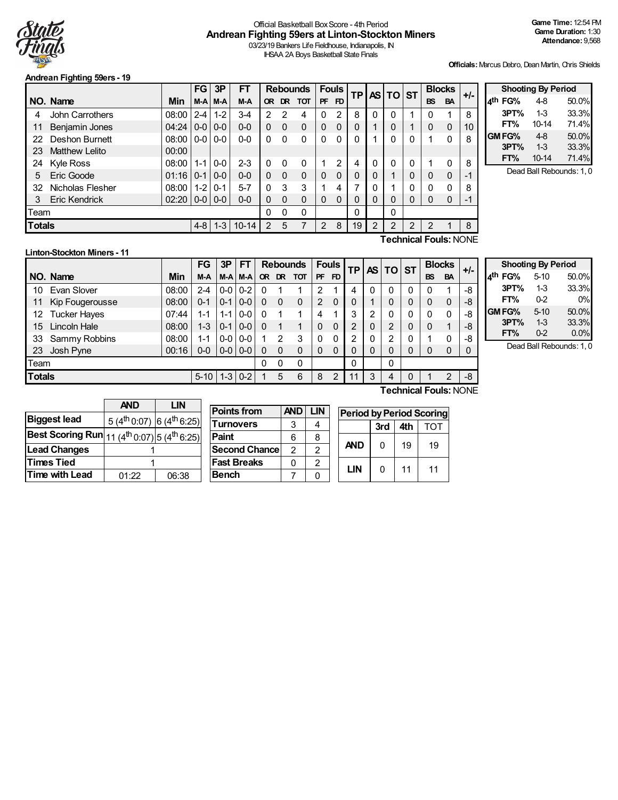

# Official Basketball BoxScore - 4th Period **Andrean Fighting 59ers at Linton-Stockton Miners**

**Points from AND LIN**

03/23/19 Bankers Life Fieldhouse, Indianapolis, IN IHSAA 2A Boys Basketball State Finals

**Officials:**Marcus Debro, Dean Martin, Chris Shields

#### **Andrean Fighting 59ers - 19**

|                                     |                              |       | <b>FG</b> | 3P      | FT        |           |          | <b>Rebounds</b> |             | <b>Fouls</b> | ΤP |          | AS TO ST    |   | <b>Blocks</b> |           | $+/-$ |
|-------------------------------------|------------------------------|-------|-----------|---------|-----------|-----------|----------|-----------------|-------------|--------------|----|----------|-------------|---|---------------|-----------|-------|
|                                     | NO. Name                     | Min   | $M-A$     | M-A     | M-A       | <b>OR</b> |          | DR TOT          | <b>PF</b>   | <b>FD</b>    |    |          |             |   | <b>BS</b>     | <b>BA</b> |       |
| 4                                   | John Carrothers              | 08:00 | $2 - 4$   | $1 - 2$ | $3 - 4$   | 2         | 2        | 4               | 0           | 2            | 8  |          | 0           |   | 0             |           | 8     |
| 11                                  | Benjamin Jones               | 04:24 | $0-0$     | $0-0$   | $0-0$     | 0         | 0        | 0               | $\mathbf 0$ | $\Omega$     | 0  |          |             |   | 0             | $\Omega$  | 10    |
| 22                                  | <b>Deshon Burnett</b>        | 08:00 | $0-0$     | $0-0$   | $0-0$     | $\Omega$  | $\Omega$ | 0               | $\Omega$    | $\Omega$     | 0  |          | 0           |   |               | 0         | 8     |
| 23                                  | <b>Matthew Lelito</b>        | 00:00 |           |         |           |           |          |                 |             |              |    |          |             |   |               |           |       |
| 24                                  | Kyle Ross                    | 08:00 | $1 - 1$   | $0-0$   | $2 - 3$   | 0         | 0        | 0               |             | 2            | 4  | $\Omega$ | $\mathbf 0$ | 0 |               | 0         | 8     |
| 5                                   | Eric Goode                   | 01:16 | $10-1$    | $0 - 0$ | $0 - 0$   | 0         | $\Omega$ | 0               | $\mathbf 0$ | $\mathbf{0}$ | 0  | $\Omega$ |             | 0 | $\Omega$      | 0         | -1    |
| 32                                  | Nicholas Flesher             | 08:00 | $1-2$     | $0 - 1$ | $5 - 7$   | 0         | 3        | 3               |             | 4            | 7  |          |             | 0 | $\Omega$      | 0         | 8     |
| 3                                   | <b>Eric Kendrick</b>         | 02:20 | $0-0$     | $0 - 0$ | $0 - 0$   | 0         | 0        | 0               | $\Omega$    | 0            | 0  |          | 0           | 0 | $\Omega$      | $\Omega$  | -1    |
| Team                                |                              |       |           |         |           | 0         | 0        | 0               |             |              | 0  |          | 0           |   |               |           |       |
| <b>Totals</b><br>$1 - 3$<br>$4 - 8$ |                              |       |           |         | $10 - 14$ | 2         | 5        | 7               | 2           | 8            | 19 | 2        | 2           | 2 | 2             |           | 8     |
|                                     | <b>Technical Fouls:</b> NONE |       |           |         |           |           |          |                 |             |              |    |          |             |   |               |           |       |

| <b>Shooting By Period</b> |       |       |  |  |  |  |  |  |  |  |  |  |  |
|---------------------------|-------|-------|--|--|--|--|--|--|--|--|--|--|--|
| 4 <sup>th</sup> FG%       | 4-8   | 50.0% |  |  |  |  |  |  |  |  |  |  |  |
| 3PT%                      | 1-3   | 33.3% |  |  |  |  |  |  |  |  |  |  |  |
| FT%                       | 10-14 | 71.4% |  |  |  |  |  |  |  |  |  |  |  |
| GM FG%                    | $4-8$ | 50.0% |  |  |  |  |  |  |  |  |  |  |  |
| 3PT%                      | $1-3$ | 33.3% |  |  |  |  |  |  |  |  |  |  |  |
| FT%                       | 10-14 | 71.4% |  |  |  |  |  |  |  |  |  |  |  |

Dead Ball Rebounds: 1, 0

# **Linton-Stockton Miners - 11**

|                                    |                              |       | <b>FG</b> | 3P      | FT      | <b>Rebounds</b> |          |              | <b>Fouls</b> | ΤP |   | AS I     |             | $TO$ ST |           |           | <b>Blocks</b> | $+/-$ |
|------------------------------------|------------------------------|-------|-----------|---------|---------|-----------------|----------|--------------|--------------|----|---|----------|-------------|---------|-----------|-----------|---------------|-------|
|                                    | NO. Name                     | Min   | M-A       | M-A     | M-A     |                 |          | OR DR TOT    | <b>PF</b>    | FD |   |          |             |         | <b>BS</b> | <b>BA</b> |               |       |
| 10                                 | Evan Slover                  | 08:00 | 2-4       | $0-0$   | $0 - 2$ |                 |          |              | 2            |    | 4 | 0        | $\mathbf 0$ | 0       | 0         |           | -8            |       |
| 11                                 | Kip Fougerousse              | 08:00 | $0 - 1$   | $0 - 1$ | $0-0$   |                 | $\Omega$ | $\mathbf{0}$ | 2            | 0  | 0 |          | 0           | 0       | 0         | 0         | -8            |       |
| 12                                 | <b>Tucker Hayes</b>          | 07:44 | 1-1       | $1 - 1$ | $0-0$   |                 |          |              | 4            |    | 3 | 2        | 0           | 0       | $\Omega$  | 0         | -8            |       |
| 15                                 | Lincoln Hale                 | 08:00 | $1 - 3$   | $0 - 1$ | $0-0$   |                 | 1        |              | 0            | 0  | 2 | 0        | 2           | 0       | 0         |           | -8            |       |
| 33                                 | Sammy Robbins                | 08:00 | 1-1       | $0-0$   | $0-0$   |                 | 2        | 3            | 0            | 0  | 2 | $\Omega$ | 2           | 0       |           | 0         | -8            |       |
| 23                                 | Josh Pyne                    | 00:16 | $0 - 0$   | $0-0$   | $0-0$   |                 | $\Omega$ | 0            | 0            | 0  | 0 | 0        | 0           | 0       | 0         | $\Omega$  |               |       |
| Team                               |                              |       |           |         |         | 0               | 0        |              |              | 0  |   | 0        |             |         |           |           |               |       |
| <b>Totals</b><br>$1-3$<br>$5 - 10$ |                              |       |           | $0 - 2$ |         | 5               | 6        | 8            | 2            | 11 | 3 | 4        | 0           |         | 2         | $-8$      |               |       |
|                                    | <b>Technical Fouls: NONE</b> |       |           |         |         |                 |          |              |              |    |   |          |             |         |           |           |               |       |

|                     | <b>Shooting By Period</b> |       |
|---------------------|---------------------------|-------|
| 4 <sup>th</sup> FG% | $5 - 10$                  | 50.0% |
| 3PT%                | $1-3$                     | 33.3% |
| FT%                 | 02                        | $0\%$ |
| GM FG%              | $5 - 10$                  | 50.0% |
| 3PT%                | $1-3$                     | 33.3% |
| FT%                 | $0 - 2$                   | 0.0%  |

Dead Ball Rebounds: 1, 0

|                         | <b>AND</b>                                         | LIN   |  |  |  |  |
|-------------------------|----------------------------------------------------|-------|--|--|--|--|
| <b>Biggest lead</b>     | 5 (4 <sup>th</sup> 0:07) 6 (4 <sup>th</sup> 6:25)  |       |  |  |  |  |
| <b>Best Scoring Run</b> | 11 (4 <sup>th</sup> 0:07) 5 (4 <sup>th</sup> 6:25) |       |  |  |  |  |
| <b>Lead Changes</b>     |                                                    |       |  |  |  |  |
| <b>Times Tied</b>       |                                                    |       |  |  |  |  |
| <b>Time with Lead</b>   | 01:22                                              | 06:38 |  |  |  |  |

| LIN             |                      |               |               |
|-----------------|----------------------|---------------|---------------|
|                 | <b>Points from</b>   | <b>AND</b>    | LIN           |
| $(4^{th} 6:25)$ | <b>Turnovers</b>     | 3             |               |
| $(4^{th} 6:25)$ | Paint                | 6             | 8             |
|                 | <b>Second Chance</b> | $\mathcal{P}$ | $\mathcal{P}$ |
|                 | <b>Fast Breaks</b>   | U             | 2             |
| 06:38           | <b>Bench</b>         |               |               |

| <b>Period by Period Scoring</b> |     |     |     |
|---------------------------------|-----|-----|-----|
|                                 | 3rd | 4th | TOT |
| <b>AND</b>                      | N   | 19  | 19  |
| I IN                            | n   | 11  | 11  |